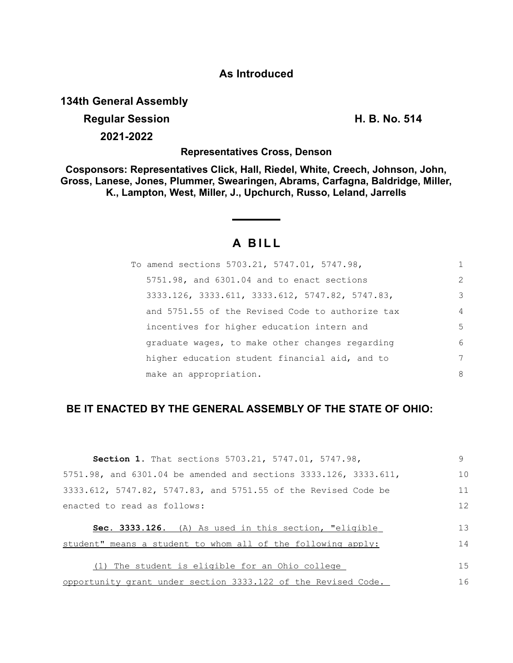## **As Introduced**

**134th General Assembly**

# **Regular Session H. B. No. 514 2021-2022**

**Representatives Cross, Denson**

**Cosponsors: Representatives Click, Hall, Riedel, White, Creech, Johnson, John, Gross, Lanese, Jones, Plummer, Swearingen, Abrams, Carfagna, Baldridge, Miller, K., Lampton, West, Miller, J., Upchurch, Russo, Leland, Jarrells**

# **A B I L L**

| To amend sections 5703.21, 5747.01, 5747.98,     | 1             |
|--------------------------------------------------|---------------|
| 5751.98, and 6301.04 and to enact sections       | $\mathcal{L}$ |
| 3333.126, 3333.611, 3333.612, 5747.82, 5747.83,  | 3             |
| and 5751.55 of the Revised Code to authorize tax | 4             |
| incentives for higher education intern and       | 5             |
| graduate wages, to make other changes regarding  | 6             |
| higher education student financial aid, and to   | 7             |
| make an appropriation.                           | 8             |

# **BE IT ENACTED BY THE GENERAL ASSEMBLY OF THE STATE OF OHIO:**

| Section 1. That sections 5703.21, 5747.01, 5747.98,              | 9   |
|------------------------------------------------------------------|-----|
| 5751.98, and 6301.04 be amended and sections 3333.126, 3333.611, | 10  |
| 3333.612, 5747.82, 5747.83, and 5751.55 of the Revised Code be   | 11  |
| enacted to read as follows:                                      | 12  |
|                                                                  |     |
| Sec. 3333.126. (A) As used in this section, "eligible            | 1.3 |
| student" means a student to whom all of the following apply:     | 14  |
| The student is eligible for an Ohio college                      | 15  |
| opportunity grant under section 3333.122 of the Revised Code.    | 16  |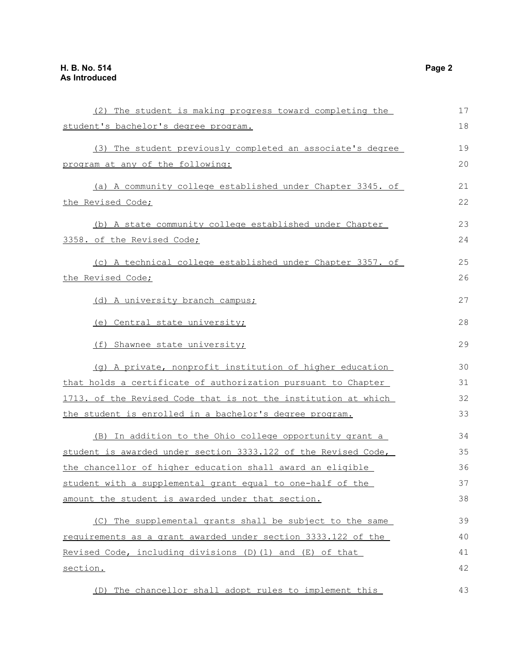| (2) The student is making progress toward completing the       | 17 |
|----------------------------------------------------------------|----|
| student's bachelor's degree program.                           | 18 |
| (3) The student previously completed an associate's degree     | 19 |
| program at any of the following:                               | 20 |
| (a) A community college established under Chapter 3345. of     | 21 |
| the Revised Code;                                              | 22 |
| (b) A state community college established under Chapter        | 23 |
| 3358. of the Revised Code;                                     | 24 |
| (c) A technical college established under Chapter 3357. of     | 25 |
| the Revised Code;                                              | 26 |
| (d) A university branch campus;                                | 27 |
| (e) Central state university;                                  | 28 |
| (f) Shawnee state university;                                  | 29 |
| (g) A private, nonprofit institution of higher education       | 30 |
| that holds a certificate of authorization pursuant to Chapter  | 31 |
| 1713. of the Revised Code that is not the institution at which | 32 |
| the student is enrolled in a bachelor's degree program.        | 33 |
| (B) In addition to the Ohio college opportunity grant a        | 34 |
| student is awarded under section 3333.122 of the Revised Code, | 35 |
| the chancellor of higher education shall award an eligible     | 36 |
| student with a supplemental grant equal to one-half of the     | 37 |
| amount the student is awarded under that section.              | 38 |
| The supplemental grants shall be subject to the same<br>(C)    | 39 |
| requirements as a grant awarded under section 3333.122 of the  | 40 |
| Revised Code, including divisions (D) (1) and (E) of that      | 41 |
| <u>section.</u>                                                | 42 |
| The chancellor shall adopt rules to implement this<br>(D)      | 43 |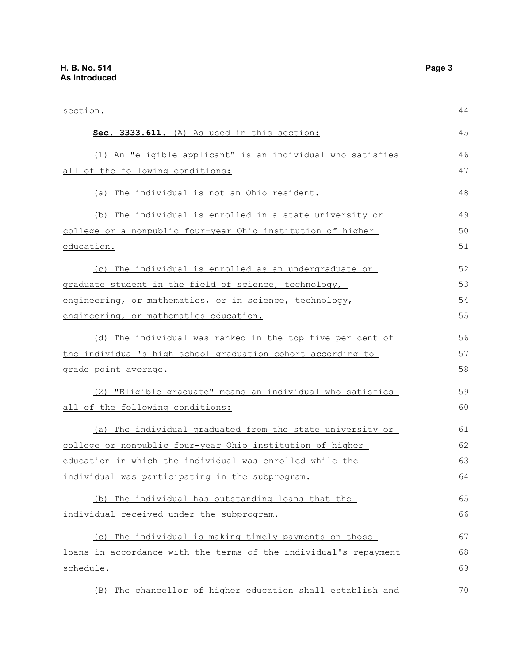| <u>section.</u>                                                  | 44 |
|------------------------------------------------------------------|----|
| Sec. 3333.611. (A) As used in this section:                      | 45 |
| (1) An "eligible applicant" is an individual who satisfies       | 46 |
| all of the following conditions:                                 | 47 |
| (a) The individual is not an Ohio resident.                      | 48 |
| (b) The individual is enrolled in a state university or          | 49 |
| college or a nonpublic four-year Ohio institution of higher      | 50 |
| education.                                                       | 51 |
| (c) The individual is enrolled as an undergraduate or            | 52 |
| graduate student in the field of science, technology,            | 53 |
| engineering, or mathematics, or in science, technology,          | 54 |
| engineering, or mathematics education.                           | 55 |
| (d) The individual was ranked in the top five per cent of        | 56 |
| the individual's high school graduation cohort according to      | 57 |
| <u>grade point average.</u>                                      | 58 |
| (2) "Eligible graduate" means an individual who satisfies        | 59 |
| all of the following conditions:                                 | 60 |
| (a) The individual graduated from the state university or        | 61 |
| college or nonpublic four-year Ohio institution of higher        | 62 |
| education in which the individual was enrolled while the         | 63 |
| individual was participating in the subprogram.                  | 64 |
| (b) The individual has outstanding loans that the                | 65 |
| individual received under the subprogram.                        | 66 |
| (c) The individual is making timely payments on those            | 67 |
| loans in accordance with the terms of the individual's repayment | 68 |
| schedule.                                                        | 69 |
| (B) The chancellor of higher education shall establish and       | 70 |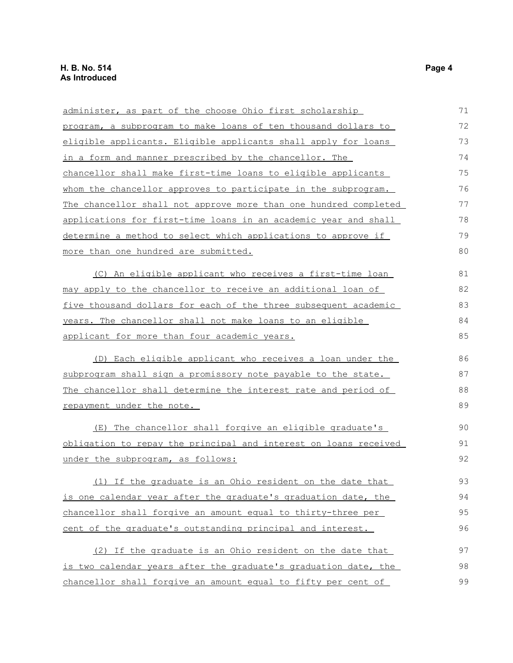| administer, as part of the choose Ohio first scholarship         | 71 |
|------------------------------------------------------------------|----|
| program, a subprogram to make loans of ten thousand dollars to   | 72 |
| eligible applicants. Eligible applicants shall apply for loans   | 73 |
| in a form and manner prescribed by the chancellor. The           | 74 |
| chancellor shall make first-time loans to eligible applicants    | 75 |
| whom the chancellor approves to participate in the subprogram.   | 76 |
| The chancellor shall not approve more than one hundred completed | 77 |
| applications for first-time loans in an academic year and shall  | 78 |
| determine a method to select which applications to approve if    | 79 |
| more than one hundred are submitted.                             | 80 |
| (C) An eligible applicant who receives a first-time loan         | 81 |
| may apply to the chancellor to receive an additional loan of     | 82 |
| five thousand dollars for each of the three subsequent academic  | 83 |
| years. The chancellor shall not make loans to an eligible        | 84 |
| <u>applicant for more than four academic years.</u>              | 85 |
| (D) Each eligible applicant who receives a loan under the        | 86 |
| subprogram shall sign a promissory note payable to the state.    | 87 |
| The chancellor shall determine the interest rate and period of   | 88 |
| repayment under the note.                                        | 89 |
| The chancellor shall forgive an eligible graduate's<br>(E)       | 90 |
| obligation to repay the principal and interest on loans received | 91 |
| under the subprogram, as follows:                                | 92 |
| (1) If the graduate is an Ohio resident on the date that         | 93 |
| is one calendar year after the graduate's graduation date, the   | 94 |
| chancellor shall forgive an amount equal to thirty-three per     | 95 |
| cent of the graduate's outstanding principal and interest.       | 96 |
| (2) If the graduate is an Ohio resident on the date that         | 97 |
| is two calendar years after the graduate's graduation date, the  | 98 |
| chancellor shall forgive an amount equal to fifty per cent of    | 99 |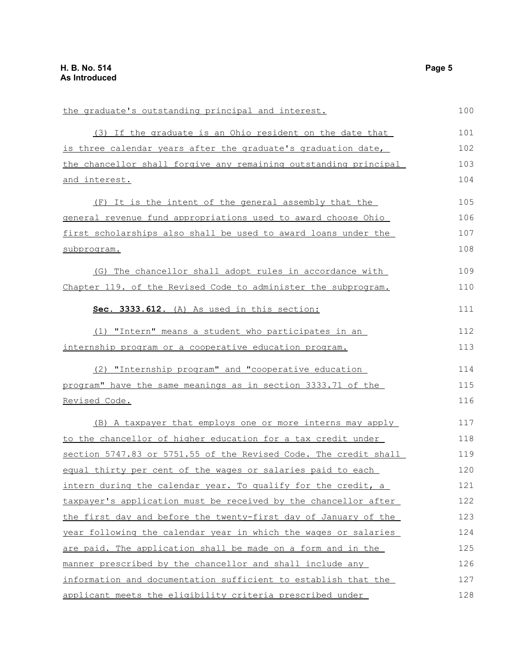| the graduate's outstanding principal and interest.               | 100 |
|------------------------------------------------------------------|-----|
| (3) If the graduate is an Ohio resident on the date that         | 101 |
| is three calendar years after the graduate's graduation date,    | 102 |
| the chancellor shall forgive any remaining outstanding principal | 103 |
| and interest.                                                    | 104 |
| (F) It is the intent of the general assembly that the            | 105 |
| general revenue fund appropriations used to award choose Ohio    | 106 |
| first scholarships also shall be used to award loans under the   | 107 |
| subprogram.                                                      | 108 |
| (G) The chancellor shall adopt rules in accordance with          | 109 |
| Chapter 119. of the Revised Code to administer the subprogram.   | 110 |
| Sec. 3333.612. (A) As used in this section:                      | 111 |
| (1) "Intern" means a student who participates in an              | 112 |
| internship program or a cooperative education program.           | 113 |
| (2) "Internship program" and "cooperative education              | 114 |
| program" have the same meanings as in section 3333.71 of the     | 115 |
| Revised Code.                                                    | 116 |
| (B) A taxpayer that employs one or more interns may apply        | 117 |
| to the chancellor of higher education for a tax credit under     | 118 |
| section 5747.83 or 5751.55 of the Revised Code. The credit shall | 119 |
| equal thirty per cent of the wages or salaries paid to each      | 120 |
| intern during the calendar year. To qualify for the credit, a    | 121 |
| taxpayer's application must be received by the chancellor after  | 122 |
| the first day and before the twenty-first day of January of the  | 123 |
| year following the calendar year in which the wages or salaries  | 124 |
| are paid. The application shall be made on a form and in the     | 125 |
| manner prescribed by the chancellor and shall include any        | 126 |
| information and documentation sufficient to establish that the   | 127 |
| applicant meets the eligibility criteria prescribed under        | 128 |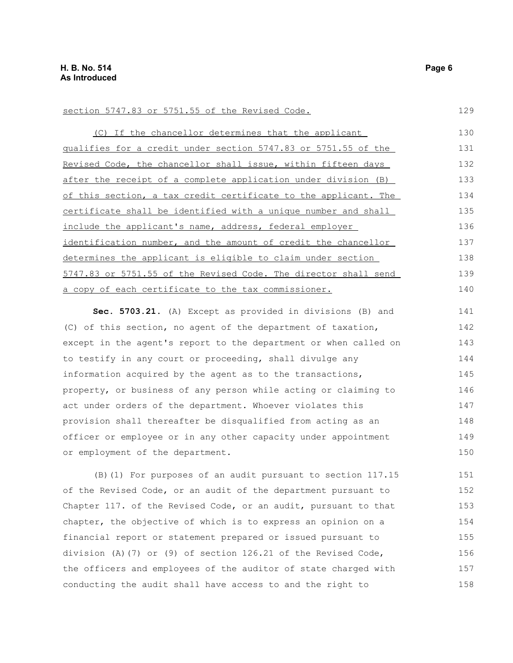#### section 5747.83 or 5751.55 of the Revised Code.

(C) If the chancellor determines that the applicant qualifies for a credit under section 5747.83 or 5751.55 of the Revised Code, the chancellor shall issue, within fifteen days after the receipt of a complete application under division (B) of this section, a tax credit certificate to the applicant. The certificate shall be identified with a unique number and shall include the applicant's name, address, federal employer identification number, and the amount of credit the chancellor determines the applicant is eligible to claim under section 5747.83 or 5751.55 of the Revised Code. The director shall send a copy of each certificate to the tax commissioner. 130 131 132 133 134 135 136 137 138 139 140

**Sec. 5703.21.** (A) Except as provided in divisions (B) and (C) of this section, no agent of the department of taxation, except in the agent's report to the department or when called on to testify in any court or proceeding, shall divulge any information acquired by the agent as to the transactions, property, or business of any person while acting or claiming to act under orders of the department. Whoever violates this provision shall thereafter be disqualified from acting as an officer or employee or in any other capacity under appointment or employment of the department. 141 142 143 144 145 146 147 148 149 150

(B)(1) For purposes of an audit pursuant to section 117.15 of the Revised Code, or an audit of the department pursuant to Chapter 117. of the Revised Code, or an audit, pursuant to that chapter, the objective of which is to express an opinion on a financial report or statement prepared or issued pursuant to division (A)(7) or (9) of section 126.21 of the Revised Code, the officers and employees of the auditor of state charged with conducting the audit shall have access to and the right to 151 152 153 154 155 156 157 158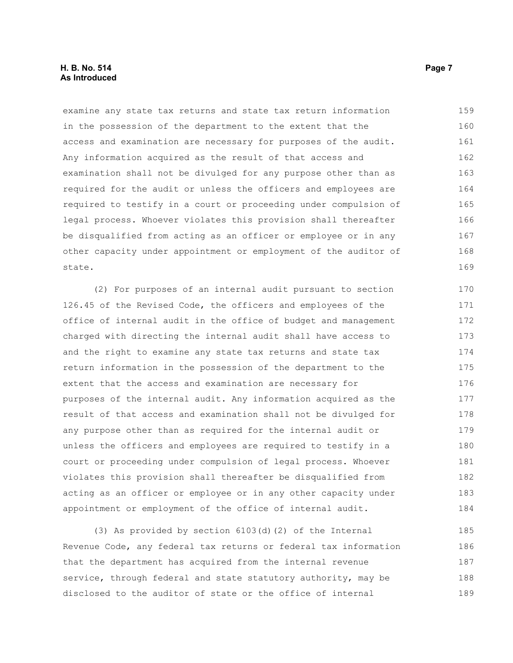#### **H. B. No. 514** Page 7 **As Introduced**

examine any state tax returns and state tax return information in the possession of the department to the extent that the access and examination are necessary for purposes of the audit. Any information acquired as the result of that access and examination shall not be divulged for any purpose other than as required for the audit or unless the officers and employees are required to testify in a court or proceeding under compulsion of legal process. Whoever violates this provision shall thereafter be disqualified from acting as an officer or employee or in any other capacity under appointment or employment of the auditor of state. 159 160 161 162 163 164 165 166 167 168 169

(2) For purposes of an internal audit pursuant to section 126.45 of the Revised Code, the officers and employees of the office of internal audit in the office of budget and management charged with directing the internal audit shall have access to and the right to examine any state tax returns and state tax return information in the possession of the department to the extent that the access and examination are necessary for purposes of the internal audit. Any information acquired as the result of that access and examination shall not be divulged for any purpose other than as required for the internal audit or unless the officers and employees are required to testify in a court or proceeding under compulsion of legal process. Whoever violates this provision shall thereafter be disqualified from acting as an officer or employee or in any other capacity under appointment or employment of the office of internal audit. 170 171 172 173 174 175 176 177 178 179 180 181 182 183 184

(3) As provided by section 6103(d)(2) of the Internal Revenue Code, any federal tax returns or federal tax information that the department has acquired from the internal revenue service, through federal and state statutory authority, may be disclosed to the auditor of state or the office of internal 185 186 187 188 189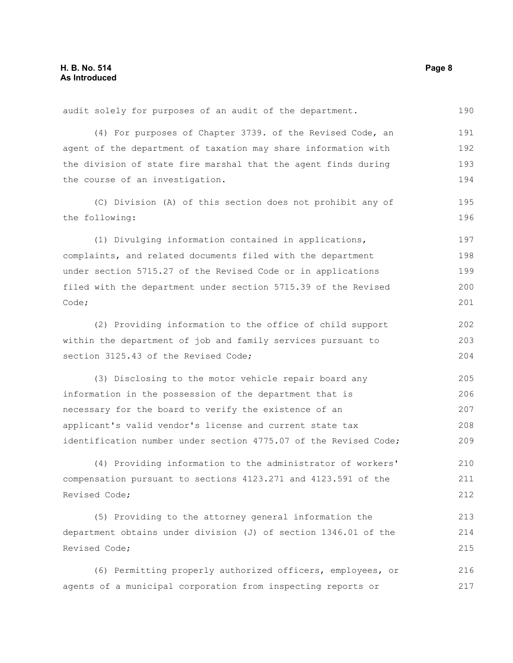audit solely for purposes of an audit of the department. (4) For purposes of Chapter 3739. of the Revised Code, an agent of the department of taxation may share information with the division of state fire marshal that the agent finds during the course of an investigation. (C) Division (A) of this section does not prohibit any of the following: (1) Divulging information contained in applications, complaints, and related documents filed with the department under section 5715.27 of the Revised Code or in applications filed with the department under section 5715.39 of the Revised Code; (2) Providing information to the office of child support within the department of job and family services pursuant to section 3125.43 of the Revised Code; (3) Disclosing to the motor vehicle repair board any information in the possession of the department that is necessary for the board to verify the existence of an applicant's valid vendor's license and current state tax identification number under section 4775.07 of the Revised Code; (4) Providing information to the administrator of workers' compensation pursuant to sections 4123.271 and 4123.591 of the Revised Code; 190 191 192 193 194 195 196 197 198 199 200 201 202 203 204 205 206 207 208 209 210 211 212

(5) Providing to the attorney general information the department obtains under division (J) of section 1346.01 of the Revised Code; 213 214 215

(6) Permitting properly authorized officers, employees, or agents of a municipal corporation from inspecting reports or 216 217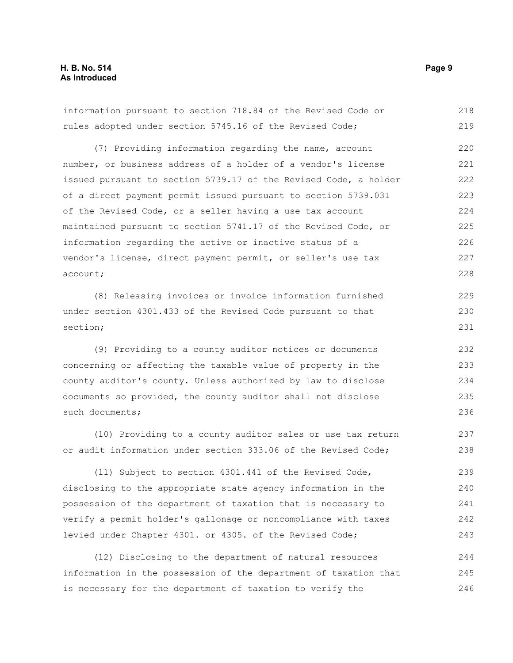information pursuant to section 718.84 of the Revised Code or rules adopted under section 5745.16 of the Revised Code; 218 219

(7) Providing information regarding the name, account number, or business address of a holder of a vendor's license issued pursuant to section 5739.17 of the Revised Code, a holder of a direct payment permit issued pursuant to section 5739.031 of the Revised Code, or a seller having a use tax account maintained pursuant to section 5741.17 of the Revised Code, or information regarding the active or inactive status of a vendor's license, direct payment permit, or seller's use tax account; 220 221 222 223 224 225 226 227 228

(8) Releasing invoices or invoice information furnished under section 4301.433 of the Revised Code pursuant to that section;

(9) Providing to a county auditor notices or documents concerning or affecting the taxable value of property in the county auditor's county. Unless authorized by law to disclose documents so provided, the county auditor shall not disclose such documents;

(10) Providing to a county auditor sales or use tax return or audit information under section 333.06 of the Revised Code;

(11) Subject to section 4301.441 of the Revised Code, disclosing to the appropriate state agency information in the possession of the department of taxation that is necessary to verify a permit holder's gallonage or noncompliance with taxes levied under Chapter 4301. or 4305. of the Revised Code; 239 240 241 242 243

(12) Disclosing to the department of natural resources information in the possession of the department of taxation that is necessary for the department of taxation to verify the 244 245 246

229 230 231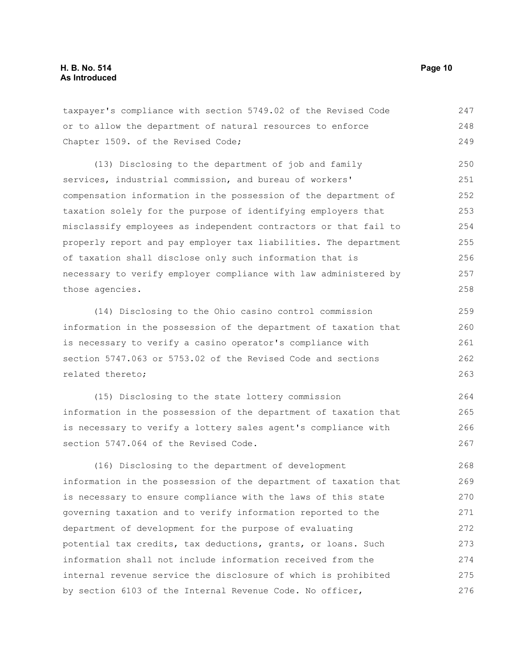taxpayer's compliance with section 5749.02 of the Revised Code or to allow the department of natural resources to enforce Chapter 1509. of the Revised Code; 247 248 249

(13) Disclosing to the department of job and family services, industrial commission, and bureau of workers' compensation information in the possession of the department of taxation solely for the purpose of identifying employers that misclassify employees as independent contractors or that fail to properly report and pay employer tax liabilities. The department of taxation shall disclose only such information that is necessary to verify employer compliance with law administered by those agencies. 250 251 252 253 254 255 256 257 258

(14) Disclosing to the Ohio casino control commission information in the possession of the department of taxation that is necessary to verify a casino operator's compliance with section 5747.063 or 5753.02 of the Revised Code and sections related thereto;

(15) Disclosing to the state lottery commission information in the possession of the department of taxation that is necessary to verify a lottery sales agent's compliance with section 5747.064 of the Revised Code. 264 265 266 267

(16) Disclosing to the department of development information in the possession of the department of taxation that is necessary to ensure compliance with the laws of this state governing taxation and to verify information reported to the department of development for the purpose of evaluating potential tax credits, tax deductions, grants, or loans. Such information shall not include information received from the internal revenue service the disclosure of which is prohibited by section 6103 of the Internal Revenue Code. No officer, 268 269 270 271 272 273 274 275 276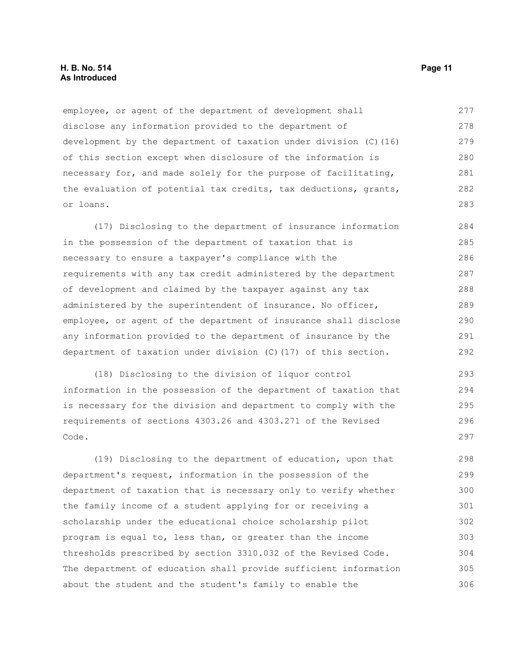#### **H. B. No. 514 Page 11 As Introduced**

employee, or agent of the department of development shall disclose any information provided to the department of development by the department of taxation under division (C)(16) of this section except when disclosure of the information is necessary for, and made solely for the purpose of facilitating, the evaluation of potential tax credits, tax deductions, grants, or loans. 277 278 279 280 281 282 283

(17) Disclosing to the department of insurance information in the possession of the department of taxation that is necessary to ensure a taxpayer's compliance with the requirements with any tax credit administered by the department of development and claimed by the taxpayer against any tax administered by the superintendent of insurance. No officer, employee, or agent of the department of insurance shall disclose any information provided to the department of insurance by the department of taxation under division (C)(17) of this section. 284 285 286 287 288 289 290 291 292

(18) Disclosing to the division of liquor control information in the possession of the department of taxation that is necessary for the division and department to comply with the requirements of sections 4303.26 and 4303.271 of the Revised Code. 293 294 295 296 297

(19) Disclosing to the department of education, upon that department's request, information in the possession of the department of taxation that is necessary only to verify whether the family income of a student applying for or receiving a scholarship under the educational choice scholarship pilot program is equal to, less than, or greater than the income thresholds prescribed by section 3310.032 of the Revised Code. The department of education shall provide sufficient information about the student and the student's family to enable the 298 299 300 301 302 303 304 305 306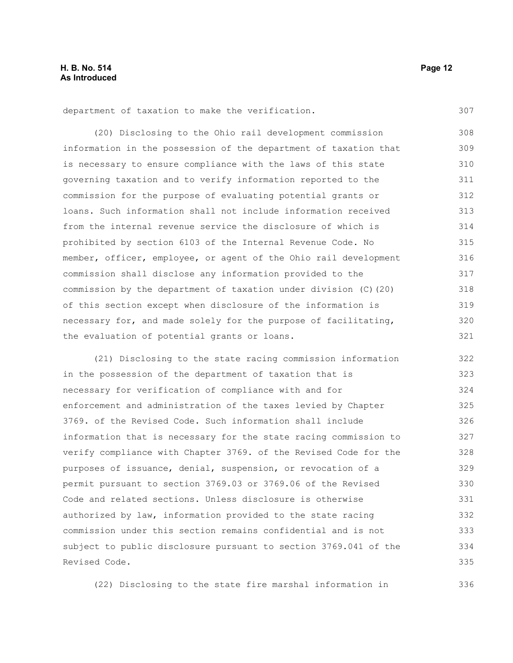department of taxation to make the verification.

(20) Disclosing to the Ohio rail development commission information in the possession of the department of taxation that is necessary to ensure compliance with the laws of this state governing taxation and to verify information reported to the commission for the purpose of evaluating potential grants or loans. Such information shall not include information received from the internal revenue service the disclosure of which is prohibited by section 6103 of the Internal Revenue Code. No member, officer, employee, or agent of the Ohio rail development commission shall disclose any information provided to the commission by the department of taxation under division (C)(20) of this section except when disclosure of the information is necessary for, and made solely for the purpose of facilitating, the evaluation of potential grants or loans. 308 309 310 311 312 313 314 315 316 317 318 319 320 321

(21) Disclosing to the state racing commission information in the possession of the department of taxation that is necessary for verification of compliance with and for enforcement and administration of the taxes levied by Chapter 3769. of the Revised Code. Such information shall include information that is necessary for the state racing commission to verify compliance with Chapter 3769. of the Revised Code for the purposes of issuance, denial, suspension, or revocation of a permit pursuant to section 3769.03 or 3769.06 of the Revised Code and related sections. Unless disclosure is otherwise authorized by law, information provided to the state racing commission under this section remains confidential and is not subject to public disclosure pursuant to section 3769.041 of the Revised Code. 322 323 324 325 326 327 328 329 330 331 332 333 334 335

(22) Disclosing to the state fire marshal information in

307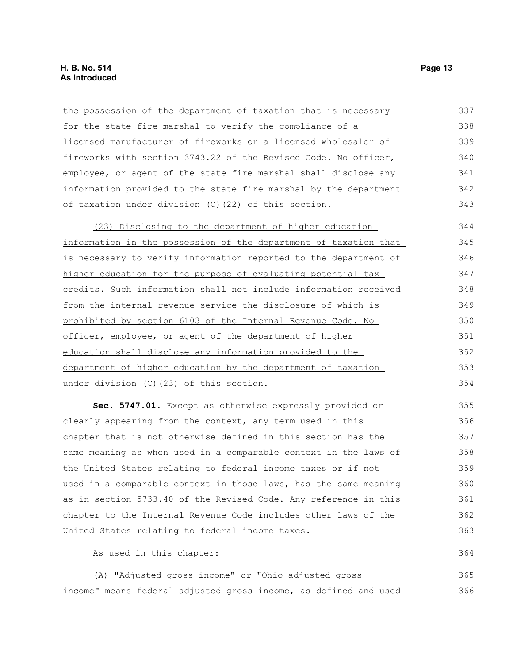#### **H. B. No. 514 Page 13 As Introduced**

the possession of the department of taxation that is necessary for the state fire marshal to verify the compliance of a licensed manufacturer of fireworks or a licensed wholesaler of fireworks with section 3743.22 of the Revised Code. No officer, employee, or agent of the state fire marshal shall disclose any information provided to the state fire marshal by the department of taxation under division (C)(22) of this section. 337 338 339 340 341 342 343

(23) Disclosing to the department of higher education information in the possession of the department of taxation that is necessary to verify information reported to the department of higher education for the purpose of evaluating potential tax credits. Such information shall not include information received from the internal revenue service the disclosure of which is prohibited by section 6103 of the Internal Revenue Code. No officer, employee, or agent of the department of higher education shall disclose any information provided to the department of higher education by the department of taxation under division (C)(23) of this section. 344 345 346 347 348 349 350 351 352 353 354

**Sec. 5747.01.** Except as otherwise expressly provided or clearly appearing from the context, any term used in this chapter that is not otherwise defined in this section has the same meaning as when used in a comparable context in the laws of the United States relating to federal income taxes or if not used in a comparable context in those laws, has the same meaning as in section 5733.40 of the Revised Code. Any reference in this chapter to the Internal Revenue Code includes other laws of the United States relating to federal income taxes. 355 356 357 358 359 360 361 362 363

As used in this chapter:

(A) "Adjusted gross income" or "Ohio adjusted gross income" means federal adjusted gross income, as defined and used 365 366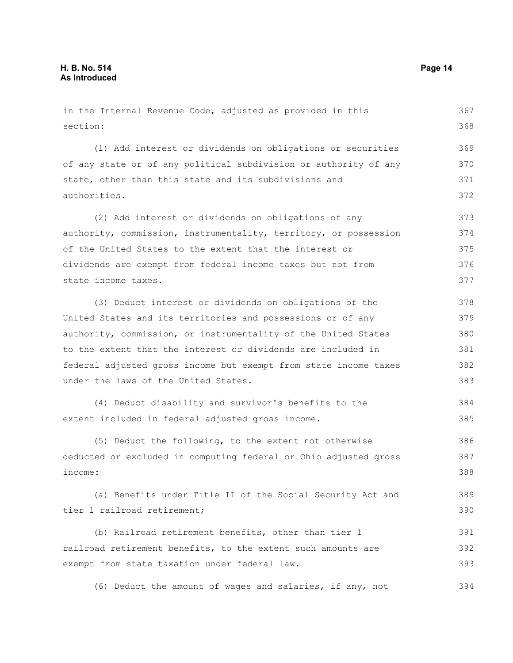in the Internal Revenue Code, adjusted as provided in this section: (1) Add interest or dividends on obligations or securities of any state or of any political subdivision or authority of any state, other than this state and its subdivisions and authorities. (2) Add interest or dividends on obligations of any authority, commission, instrumentality, territory, or possession of the United States to the extent that the interest or dividends are exempt from federal income taxes but not from state income taxes. (3) Deduct interest or dividends on obligations of the United States and its territories and possessions or of any authority, commission, or instrumentality of the United States to the extent that the interest or dividends are included in federal adjusted gross income but exempt from state income taxes under the laws of the United States. (4) Deduct disability and survivor's benefits to the extent included in federal adjusted gross income. (5) Deduct the following, to the extent not otherwise deducted or excluded in computing federal or Ohio adjusted gross income: (a) Benefits under Title II of the Social Security Act and tier 1 railroad retirement; (b) Railroad retirement benefits, other than tier 1 railroad retirement benefits, to the extent such amounts are exempt from state taxation under federal law. (6) Deduct the amount of wages and salaries, if any, not 367 368 369 370 371 372 373 374 375 376 377 378 379 380 381 382 383 384 385 386 387 388 389 390 391 392 393 394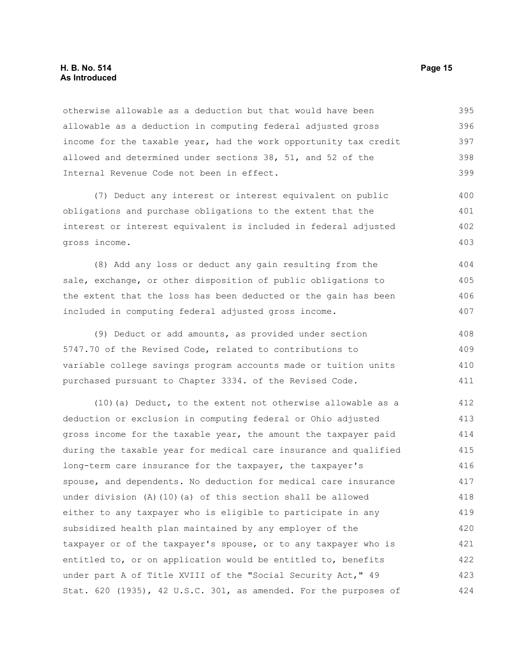#### **H. B. No. 514 Page 15 As Introduced**

otherwise allowable as a deduction but that would have been allowable as a deduction in computing federal adjusted gross income for the taxable year, had the work opportunity tax credit allowed and determined under sections 38, 51, and 52 of the Internal Revenue Code not been in effect. 395 396 397 398 399

(7) Deduct any interest or interest equivalent on public obligations and purchase obligations to the extent that the interest or interest equivalent is included in federal adjusted gross income. 400 401 402 403

(8) Add any loss or deduct any gain resulting from the sale, exchange, or other disposition of public obligations to the extent that the loss has been deducted or the gain has been included in computing federal adjusted gross income. 404 405 406 407

(9) Deduct or add amounts, as provided under section 5747.70 of the Revised Code, related to contributions to variable college savings program accounts made or tuition units purchased pursuant to Chapter 3334. of the Revised Code. 408 409 410 411

(10)(a) Deduct, to the extent not otherwise allowable as a deduction or exclusion in computing federal or Ohio adjusted gross income for the taxable year, the amount the taxpayer paid during the taxable year for medical care insurance and qualified long-term care insurance for the taxpayer, the taxpayer's spouse, and dependents. No deduction for medical care insurance under division (A)(10)(a) of this section shall be allowed either to any taxpayer who is eligible to participate in any subsidized health plan maintained by any employer of the taxpayer or of the taxpayer's spouse, or to any taxpayer who is entitled to, or on application would be entitled to, benefits under part A of Title XVIII of the "Social Security Act," 49 Stat. 620 (1935), 42 U.S.C. 301, as amended. For the purposes of 412 413 414 415 416 417 418 419 420 421 422 423 424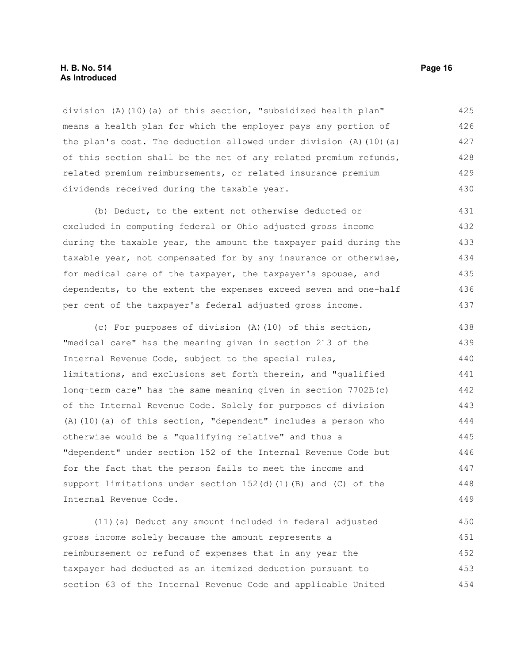#### **H. B. No. 514 Page 16 As Introduced**

division (A)(10)(a) of this section, "subsidized health plan" means a health plan for which the employer pays any portion of the plan's cost. The deduction allowed under division  $(A)$  (10)(a) of this section shall be the net of any related premium refunds, related premium reimbursements, or related insurance premium dividends received during the taxable year. 425 426 427 428 429 430

(b) Deduct, to the extent not otherwise deducted or excluded in computing federal or Ohio adjusted gross income during the taxable year, the amount the taxpayer paid during the taxable year, not compensated for by any insurance or otherwise, for medical care of the taxpayer, the taxpayer's spouse, and dependents, to the extent the expenses exceed seven and one-half per cent of the taxpayer's federal adjusted gross income. 431 432 433 434 435 436 437

(c) For purposes of division (A)(10) of this section, "medical care" has the meaning given in section 213 of the Internal Revenue Code, subject to the special rules, limitations, and exclusions set forth therein, and "qualified long-term care" has the same meaning given in section 7702B(c) of the Internal Revenue Code. Solely for purposes of division (A)(10)(a) of this section, "dependent" includes a person who otherwise would be a "qualifying relative" and thus a "dependent" under section 152 of the Internal Revenue Code but for the fact that the person fails to meet the income and support limitations under section 152(d)(1)(B) and (C) of the Internal Revenue Code. 438 439 440 441 442 443 444 445 446 447 448 449

(11)(a) Deduct any amount included in federal adjusted gross income solely because the amount represents a reimbursement or refund of expenses that in any year the taxpayer had deducted as an itemized deduction pursuant to section 63 of the Internal Revenue Code and applicable United 450 451 452 453 454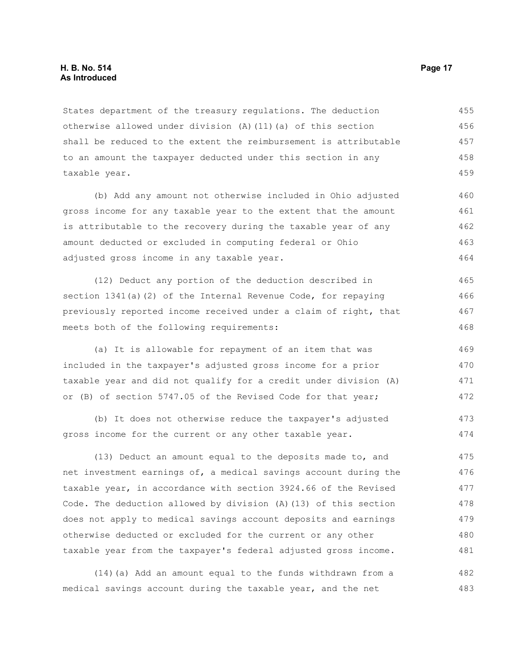#### **H. B. No. 514 Page 17 As Introduced**

States department of the treasury regulations. The deduction otherwise allowed under division (A)(11)(a) of this section shall be reduced to the extent the reimbursement is attributable to an amount the taxpayer deducted under this section in any taxable year. 455 456 457 458 459

(b) Add any amount not otherwise included in Ohio adjusted gross income for any taxable year to the extent that the amount is attributable to the recovery during the taxable year of any amount deducted or excluded in computing federal or Ohio adjusted gross income in any taxable year.

(12) Deduct any portion of the deduction described in section 1341(a)(2) of the Internal Revenue Code, for repaying previously reported income received under a claim of right, that meets both of the following requirements: 465 466 467 468

(a) It is allowable for repayment of an item that was included in the taxpayer's adjusted gross income for a prior taxable year and did not qualify for a credit under division (A) or (B) of section 5747.05 of the Revised Code for that year;

(b) It does not otherwise reduce the taxpayer's adjusted gross income for the current or any other taxable year.

(13) Deduct an amount equal to the deposits made to, and net investment earnings of, a medical savings account during the taxable year, in accordance with section 3924.66 of the Revised Code. The deduction allowed by division (A)(13) of this section does not apply to medical savings account deposits and earnings otherwise deducted or excluded for the current or any other taxable year from the taxpayer's federal adjusted gross income. 475 476 477 478 479 480 481

(14)(a) Add an amount equal to the funds withdrawn from a medical savings account during the taxable year, and the net 482 483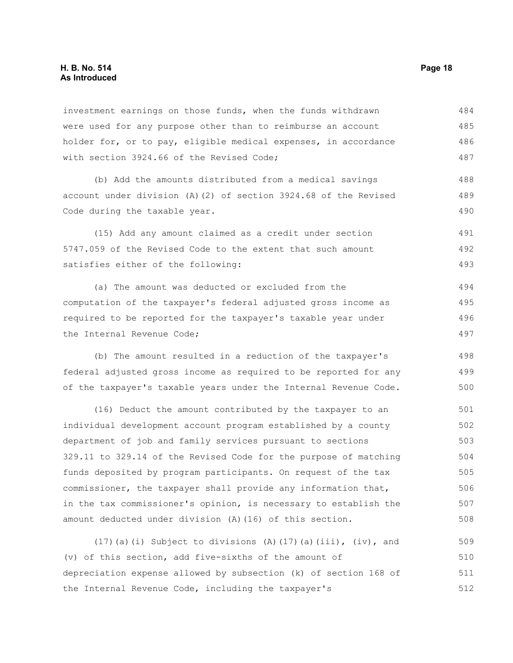#### **H. B. No. 514 Page 18 As Introduced**

investment earnings on those funds, when the funds withdrawn were used for any purpose other than to reimburse an account holder for, or to pay, eligible medical expenses, in accordance with section 3924.66 of the Revised Code; 484 485 486 487

(b) Add the amounts distributed from a medical savings account under division (A)(2) of section 3924.68 of the Revised Code during the taxable year. 488 489 490

(15) Add any amount claimed as a credit under section 5747.059 of the Revised Code to the extent that such amount satisfies either of the following: 491 492 493

(a) The amount was deducted or excluded from the computation of the taxpayer's federal adjusted gross income as required to be reported for the taxpayer's taxable year under the Internal Revenue Code; 494 495 496 497

(b) The amount resulted in a reduction of the taxpayer's federal adjusted gross income as required to be reported for any of the taxpayer's taxable years under the Internal Revenue Code.

(16) Deduct the amount contributed by the taxpayer to an individual development account program established by a county department of job and family services pursuant to sections 329.11 to 329.14 of the Revised Code for the purpose of matching funds deposited by program participants. On request of the tax commissioner, the taxpayer shall provide any information that, in the tax commissioner's opinion, is necessary to establish the amount deducted under division (A)(16) of this section. 501 502 503 504 505 506 507 508

(17)(a)(i) Subject to divisions (A)(17)(a)(iii), (iv), and (v) of this section, add five-sixths of the amount of depreciation expense allowed by subsection (k) of section 168 of the Internal Revenue Code, including the taxpayer's 509 510 511 512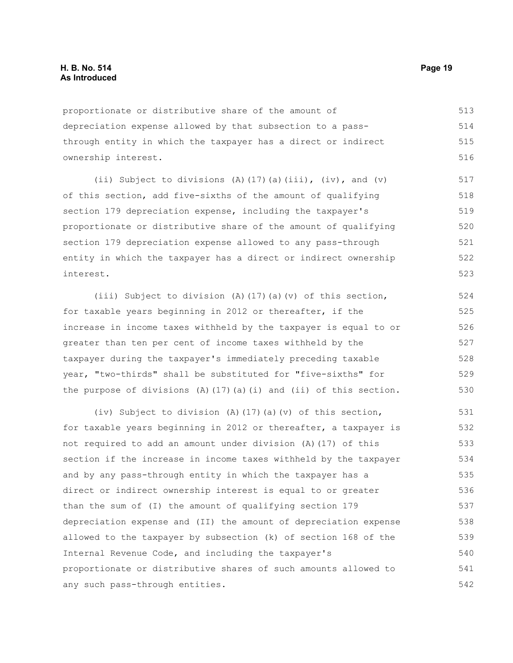proportionate or distributive share of the amount of depreciation expense allowed by that subsection to a passthrough entity in which the taxpayer has a direct or indirect ownership interest. 513 514 515 516

(ii) Subject to divisions (A)(17)(a)(iii), (iv), and (v) of this section, add five-sixths of the amount of qualifying section 179 depreciation expense, including the taxpayer's proportionate or distributive share of the amount of qualifying section 179 depreciation expense allowed to any pass-through entity in which the taxpayer has a direct or indirect ownership interest. 517 518 519 520 521 522 523

(iii) Subject to division (A)(17)(a)(v) of this section, for taxable years beginning in 2012 or thereafter, if the increase in income taxes withheld by the taxpayer is equal to or greater than ten per cent of income taxes withheld by the taxpayer during the taxpayer's immediately preceding taxable year, "two-thirds" shall be substituted for "five-sixths" for the purpose of divisions  $(A)$  (17)(a)(i) and (ii) of this section. 524 525 526 527 528 529 530

(iv) Subject to division (A)(17)(a)(v) of this section, for taxable years beginning in 2012 or thereafter, a taxpayer is not required to add an amount under division (A)(17) of this section if the increase in income taxes withheld by the taxpayer and by any pass-through entity in which the taxpayer has a direct or indirect ownership interest is equal to or greater than the sum of (I) the amount of qualifying section 179 depreciation expense and (II) the amount of depreciation expense allowed to the taxpayer by subsection (k) of section 168 of the Internal Revenue Code, and including the taxpayer's proportionate or distributive shares of such amounts allowed to any such pass-through entities. 531 532 533 534 535 536 537 538 539 540 541 542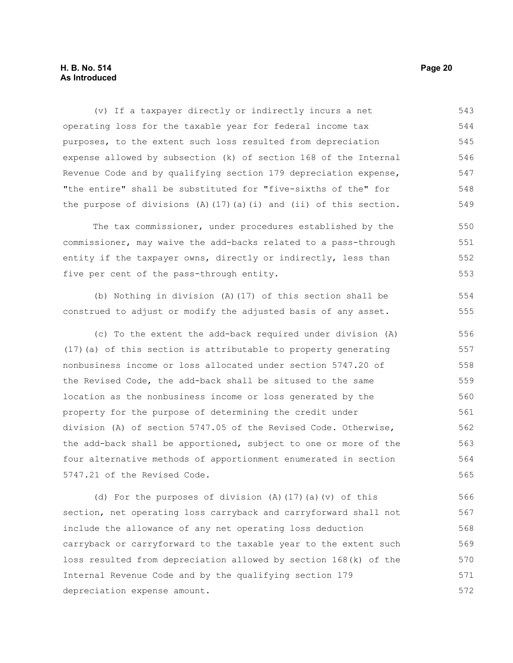#### **H. B. No. 514 Page 20 As Introduced**

(v) If a taxpayer directly or indirectly incurs a net operating loss for the taxable year for federal income tax purposes, to the extent such loss resulted from depreciation expense allowed by subsection (k) of section 168 of the Internal Revenue Code and by qualifying section 179 depreciation expense, "the entire" shall be substituted for "five-sixths of the" for the purpose of divisions  $(A)$  (17)(a)(i) and (ii) of this section. 543 544 545 546 547 548 549

The tax commissioner, under procedures established by the commissioner, may waive the add-backs related to a pass-through entity if the taxpayer owns, directly or indirectly, less than five per cent of the pass-through entity. 550 551 552 553

(b) Nothing in division (A)(17) of this section shall be construed to adjust or modify the adjusted basis of any asset.

(c) To the extent the add-back required under division (A) (17)(a) of this section is attributable to property generating nonbusiness income or loss allocated under section 5747.20 of the Revised Code, the add-back shall be sitused to the same location as the nonbusiness income or loss generated by the property for the purpose of determining the credit under division (A) of section 5747.05 of the Revised Code. Otherwise, the add-back shall be apportioned, subject to one or more of the four alternative methods of apportionment enumerated in section 5747.21 of the Revised Code. 556 557 558 559 560 561 562 563 564 565

(d) For the purposes of division (A)(17)(a)(v) of this section, net operating loss carryback and carryforward shall not include the allowance of any net operating loss deduction carryback or carryforward to the taxable year to the extent such loss resulted from depreciation allowed by section 168(k) of the Internal Revenue Code and by the qualifying section 179 depreciation expense amount. 566 567 568 569 570 571 572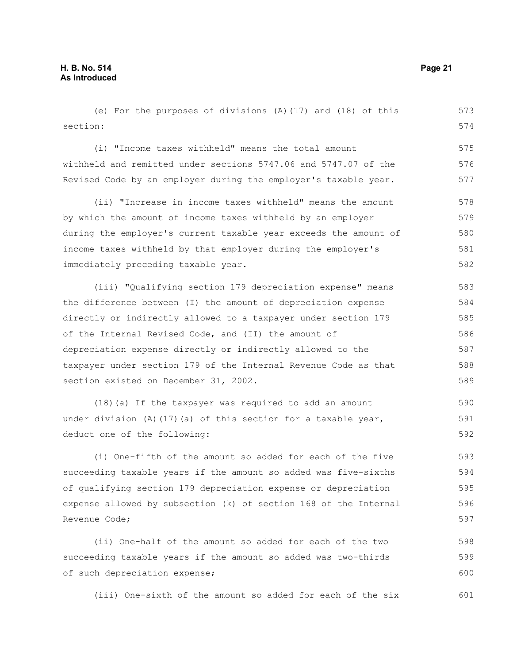(e) For the purposes of divisions (A)(17) and (18) of this section: 573 574

(i) "Income taxes withheld" means the total amount withheld and remitted under sections 5747.06 and 5747.07 of the Revised Code by an employer during the employer's taxable year. 575 576 577

(ii) "Increase in income taxes withheld" means the amount by which the amount of income taxes withheld by an employer during the employer's current taxable year exceeds the amount of income taxes withheld by that employer during the employer's immediately preceding taxable year. 578 579 580 581 582

(iii) "Qualifying section 179 depreciation expense" means the difference between (I) the amount of depreciation expense directly or indirectly allowed to a taxpayer under section 179 of the Internal Revised Code, and (II) the amount of depreciation expense directly or indirectly allowed to the taxpayer under section 179 of the Internal Revenue Code as that section existed on December 31, 2002. 583 584 585 586 587 588 589

(18)(a) If the taxpayer was required to add an amount under division (A)(17)(a) of this section for a taxable year, deduct one of the following: 590 591 592

(i) One-fifth of the amount so added for each of the five succeeding taxable years if the amount so added was five-sixths of qualifying section 179 depreciation expense or depreciation expense allowed by subsection (k) of section 168 of the Internal Revenue Code; 593 594 595 596 597

(ii) One-half of the amount so added for each of the two succeeding taxable years if the amount so added was two-thirds of such depreciation expense; 598 599 600

(iii) One-sixth of the amount so added for each of the six 601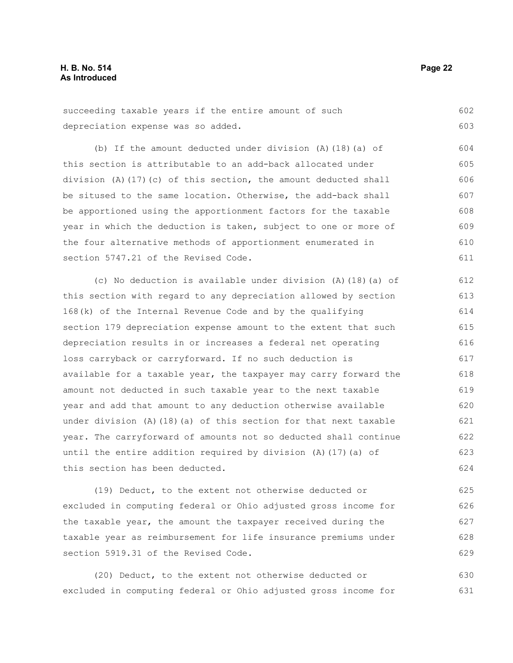succeeding taxable years if the entire amount of such depreciation expense was so added. 602 603

(b) If the amount deducted under division (A)(18)(a) of this section is attributable to an add-back allocated under division (A)(17)(c) of this section, the amount deducted shall be sitused to the same location. Otherwise, the add-back shall be apportioned using the apportionment factors for the taxable year in which the deduction is taken, subject to one or more of the four alternative methods of apportionment enumerated in section 5747.21 of the Revised Code. 604 605 606 607 608 609 610 611

(c) No deduction is available under division (A)(18)(a) of this section with regard to any depreciation allowed by section 168(k) of the Internal Revenue Code and by the qualifying section 179 depreciation expense amount to the extent that such depreciation results in or increases a federal net operating loss carryback or carryforward. If no such deduction is available for a taxable year, the taxpayer may carry forward the amount not deducted in such taxable year to the next taxable year and add that amount to any deduction otherwise available under division  $(A)$  (18)(a) of this section for that next taxable year. The carryforward of amounts not so deducted shall continue until the entire addition required by division (A)(17)(a) of this section has been deducted. 612 613 614 615 616 617 618 619 620 621 622 623 624

(19) Deduct, to the extent not otherwise deducted or excluded in computing federal or Ohio adjusted gross income for the taxable year, the amount the taxpayer received during the taxable year as reimbursement for life insurance premiums under section 5919.31 of the Revised Code. 625 626 627 628 629

(20) Deduct, to the extent not otherwise deducted or excluded in computing federal or Ohio adjusted gross income for 630 631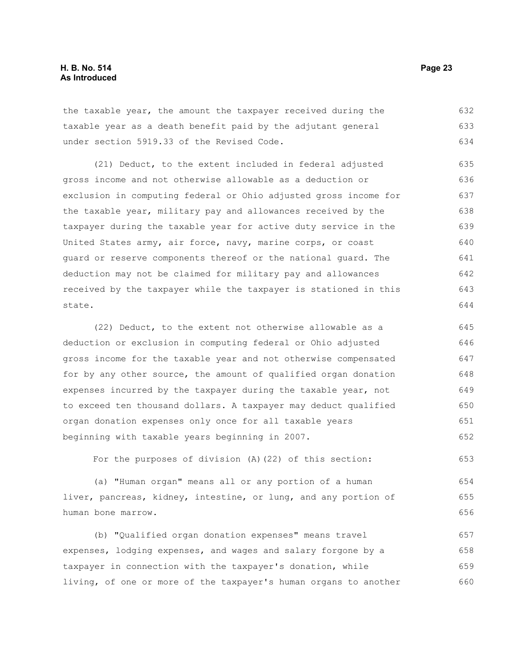the taxable year, the amount the taxpayer received during the taxable year as a death benefit paid by the adjutant general under section 5919.33 of the Revised Code. 632 633 634

(21) Deduct, to the extent included in federal adjusted gross income and not otherwise allowable as a deduction or exclusion in computing federal or Ohio adjusted gross income for the taxable year, military pay and allowances received by the taxpayer during the taxable year for active duty service in the United States army, air force, navy, marine corps, or coast guard or reserve components thereof or the national guard. The deduction may not be claimed for military pay and allowances received by the taxpayer while the taxpayer is stationed in this state. 635 636 637 638 639 640 641 642 643 644

(22) Deduct, to the extent not otherwise allowable as a deduction or exclusion in computing federal or Ohio adjusted gross income for the taxable year and not otherwise compensated for by any other source, the amount of qualified organ donation expenses incurred by the taxpayer during the taxable year, not to exceed ten thousand dollars. A taxpayer may deduct qualified organ donation expenses only once for all taxable years beginning with taxable years beginning in 2007. 645 646 647 648 649 650 651 652

For the purposes of division (A)(22) of this section: 653

(a) "Human organ" means all or any portion of a human liver, pancreas, kidney, intestine, or lung, and any portion of human bone marrow. 654 655 656

(b) "Qualified organ donation expenses" means travel expenses, lodging expenses, and wages and salary forgone by a taxpayer in connection with the taxpayer's donation, while living, of one or more of the taxpayer's human organs to another 657 658 659 660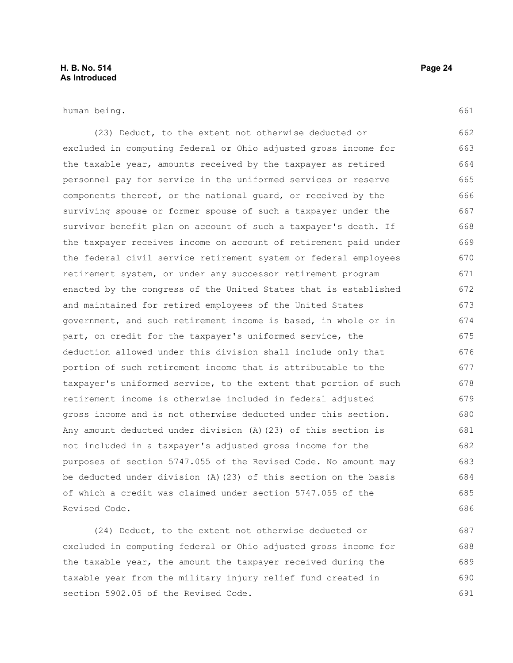### **H. B. No. 514 Page 24 As Introduced**

human being.

(23) Deduct, to the extent not otherwise deducted or excluded in computing federal or Ohio adjusted gross income for the taxable year, amounts received by the taxpayer as retired personnel pay for service in the uniformed services or reserve components thereof, or the national guard, or received by the surviving spouse or former spouse of such a taxpayer under the survivor benefit plan on account of such a taxpayer's death. If the taxpayer receives income on account of retirement paid under the federal civil service retirement system or federal employees retirement system, or under any successor retirement program enacted by the congress of the United States that is established and maintained for retired employees of the United States government, and such retirement income is based, in whole or in part, on credit for the taxpayer's uniformed service, the deduction allowed under this division shall include only that portion of such retirement income that is attributable to the taxpayer's uniformed service, to the extent that portion of such retirement income is otherwise included in federal adjusted gross income and is not otherwise deducted under this section. Any amount deducted under division (A)(23) of this section is not included in a taxpayer's adjusted gross income for the purposes of section 5747.055 of the Revised Code. No amount may be deducted under division (A)(23) of this section on the basis of which a credit was claimed under section 5747.055 of the Revised Code. 662 663 664 665 666 667 668 669 670 671 672 673 674 675 676 677 678 679 680 681 682 683 684 685 686

(24) Deduct, to the extent not otherwise deducted or excluded in computing federal or Ohio adjusted gross income for the taxable year, the amount the taxpayer received during the taxable year from the military injury relief fund created in section 5902.05 of the Revised Code. 687 688 689 690 691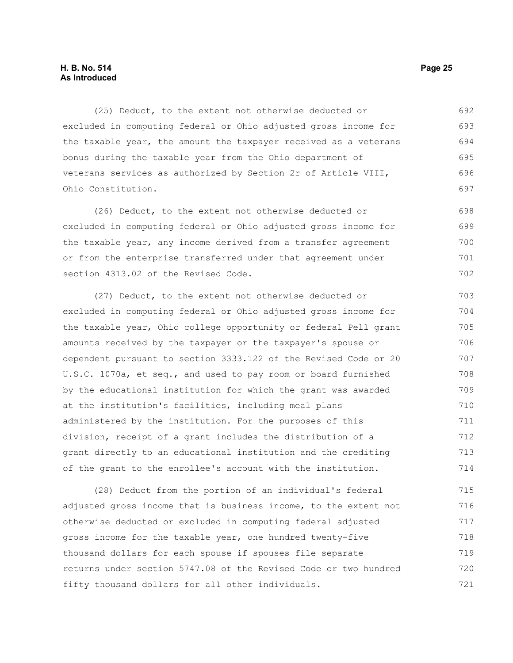#### **H. B. No. 514 Page 25 As Introduced**

(25) Deduct, to the extent not otherwise deducted or excluded in computing federal or Ohio adjusted gross income for the taxable year, the amount the taxpayer received as a veterans bonus during the taxable year from the Ohio department of veterans services as authorized by Section 2r of Article VIII, Ohio Constitution. 692 693 694 695 696 697

(26) Deduct, to the extent not otherwise deducted or excluded in computing federal or Ohio adjusted gross income for the taxable year, any income derived from a transfer agreement or from the enterprise transferred under that agreement under section 4313.02 of the Revised Code. 698 699 700 701 702

(27) Deduct, to the extent not otherwise deducted or excluded in computing federal or Ohio adjusted gross income for the taxable year, Ohio college opportunity or federal Pell grant amounts received by the taxpayer or the taxpayer's spouse or dependent pursuant to section 3333.122 of the Revised Code or 20 U.S.C. 1070a, et seq., and used to pay room or board furnished by the educational institution for which the grant was awarded at the institution's facilities, including meal plans administered by the institution. For the purposes of this division, receipt of a grant includes the distribution of a grant directly to an educational institution and the crediting of the grant to the enrollee's account with the institution. 703 704 705 706 707 708 709 710 711 712 713 714

(28) Deduct from the portion of an individual's federal adjusted gross income that is business income, to the extent not otherwise deducted or excluded in computing federal adjusted gross income for the taxable year, one hundred twenty-five thousand dollars for each spouse if spouses file separate returns under section 5747.08 of the Revised Code or two hundred fifty thousand dollars for all other individuals. 715 716 717 718 719 720 721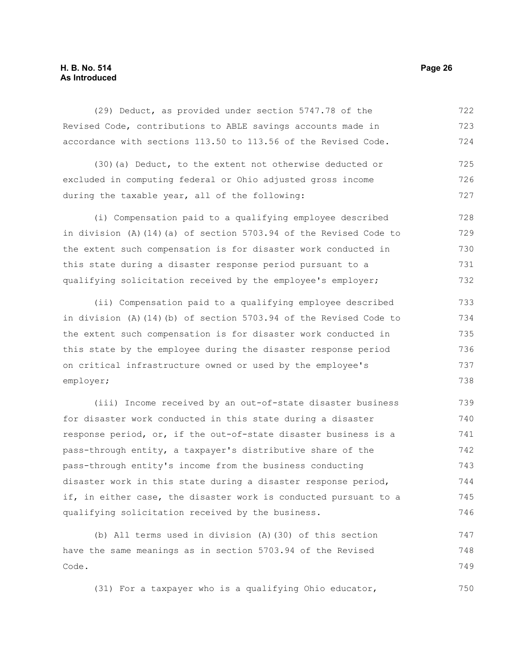### **H. B. No. 514 Page 26 As Introduced**

(29) Deduct, as provided under section 5747.78 of the Revised Code, contributions to ABLE savings accounts made in accordance with sections 113.50 to 113.56 of the Revised Code. 722 723 724

(30)(a) Deduct, to the extent not otherwise deducted or excluded in computing federal or Ohio adjusted gross income during the taxable year, all of the following: 725 726 727

(i) Compensation paid to a qualifying employee described in division (A)(14)(a) of section 5703.94 of the Revised Code to the extent such compensation is for disaster work conducted in this state during a disaster response period pursuant to a qualifying solicitation received by the employee's employer; 728 729 730 731 732

(ii) Compensation paid to a qualifying employee described in division (A)(14)(b) of section 5703.94 of the Revised Code to the extent such compensation is for disaster work conducted in this state by the employee during the disaster response period on critical infrastructure owned or used by the employee's employer; 733 734 735 736 737 738

(iii) Income received by an out-of-state disaster business for disaster work conducted in this state during a disaster response period, or, if the out-of-state disaster business is a pass-through entity, a taxpayer's distributive share of the pass-through entity's income from the business conducting disaster work in this state during a disaster response period, if, in either case, the disaster work is conducted pursuant to a qualifying solicitation received by the business. 739 740 741 742 743 744 745 746

(b) All terms used in division (A)(30) of this section have the same meanings as in section 5703.94 of the Revised Code. 747 748 749

(31) For a taxpayer who is a qualifying Ohio educator,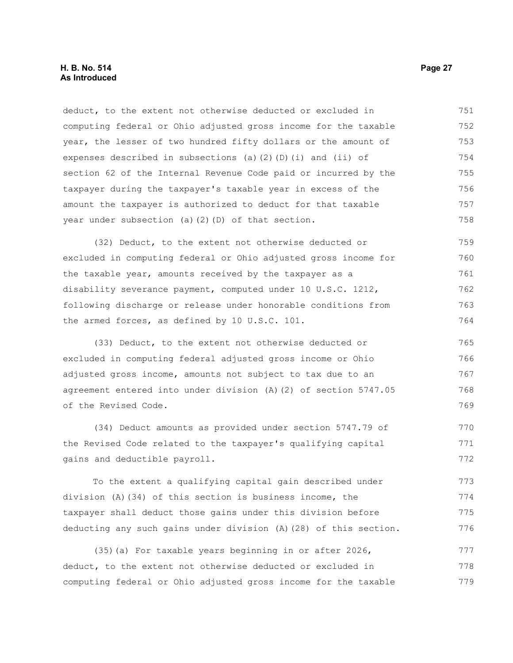deduct, to the extent not otherwise deducted or excluded in computing federal or Ohio adjusted gross income for the taxable year, the lesser of two hundred fifty dollars or the amount of expenses described in subsections (a)(2)(D)(i) and (ii) of section 62 of the Internal Revenue Code paid or incurred by the taxpayer during the taxpayer's taxable year in excess of the amount the taxpayer is authorized to deduct for that taxable year under subsection (a)(2)(D) of that section. 751 752 753 754 755 756 757 758

(32) Deduct, to the extent not otherwise deducted or excluded in computing federal or Ohio adjusted gross income for the taxable year, amounts received by the taxpayer as a disability severance payment, computed under 10 U.S.C. 1212, following discharge or release under honorable conditions from the armed forces, as defined by 10 U.S.C. 101. 759 760 761 762 763 764

(33) Deduct, to the extent not otherwise deducted or excluded in computing federal adjusted gross income or Ohio adjusted gross income, amounts not subject to tax due to an agreement entered into under division (A)(2) of section 5747.05 of the Revised Code. 765 766 767 768 769

(34) Deduct amounts as provided under section 5747.79 of the Revised Code related to the taxpayer's qualifying capital gains and deductible payroll. 770 771 772

To the extent a qualifying capital gain described under division (A)(34) of this section is business income, the taxpayer shall deduct those gains under this division before deducting any such gains under division (A)(28) of this section. 773 774 775 776

(35)(a) For taxable years beginning in or after 2026, deduct, to the extent not otherwise deducted or excluded in computing federal or Ohio adjusted gross income for the taxable 777 778 779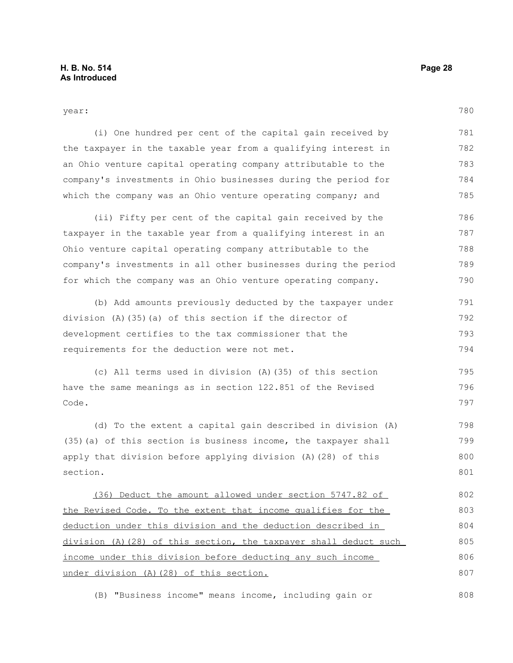780

| . .<br>×<br>×<br>v |  |
|--------------------|--|
|                    |  |

(i) One hundred per cent of the capital gain received by the taxpayer in the taxable year from a qualifying interest in an Ohio venture capital operating company attributable to the company's investments in Ohio businesses during the period for which the company was an Ohio venture operating company; and 781 782 783 784 785

(ii) Fifty per cent of the capital gain received by the taxpayer in the taxable year from a qualifying interest in an Ohio venture capital operating company attributable to the company's investments in all other businesses during the period for which the company was an Ohio venture operating company. 786 787 788 789 790

(b) Add amounts previously deducted by the taxpayer under division (A)(35)(a) of this section if the director of development certifies to the tax commissioner that the requirements for the deduction were not met. 791 792 793 794

(c) All terms used in division (A)(35) of this section have the same meanings as in section 122.851 of the Revised Code. 795 796 797

(d) To the extent a capital gain described in division (A) (35)(a) of this section is business income, the taxpayer shall apply that division before applying division (A)(28) of this section. 798 799 800 801

(36) Deduct the amount allowed under section 5747.82 of the Revised Code. To the extent that income qualifies for the deduction under this division and the deduction described in division (A)(28) of this section, the taxpayer shall deduct such income under this division before deducting any such income under division (A)(28) of this section. 802 803 804 805 806 807

(B) "Business income" means income, including gain or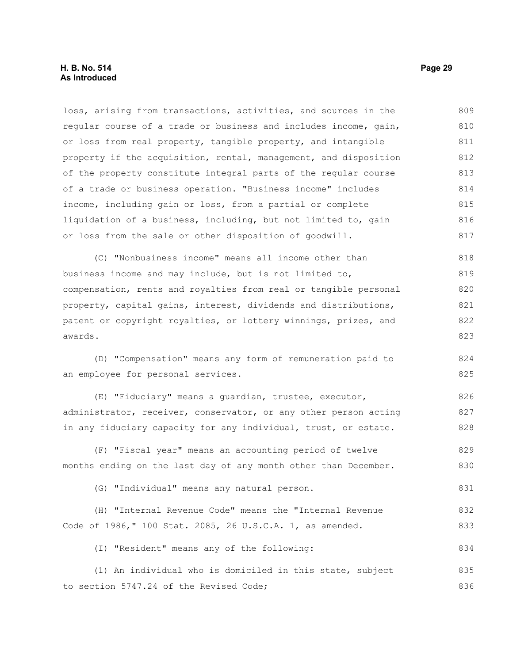#### **H. B. No. 514 Page 29 As Introduced**

loss, arising from transactions, activities, and sources in the regular course of a trade or business and includes income, gain, or loss from real property, tangible property, and intangible property if the acquisition, rental, management, and disposition of the property constitute integral parts of the regular course of a trade or business operation. "Business income" includes income, including gain or loss, from a partial or complete liquidation of a business, including, but not limited to, gain or loss from the sale or other disposition of goodwill. 809 810 811 812 813 814 815 816 817

(C) "Nonbusiness income" means all income other than business income and may include, but is not limited to, compensation, rents and royalties from real or tangible personal property, capital gains, interest, dividends and distributions, patent or copyright royalties, or lottery winnings, prizes, and awards. 818 819 820 821 822 823

(D) "Compensation" means any form of remuneration paid to an employee for personal services.

(E) "Fiduciary" means a guardian, trustee, executor, administrator, receiver, conservator, or any other person acting in any fiduciary capacity for any individual, trust, or estate. 826 827 828

(F) "Fiscal year" means an accounting period of twelve months ending on the last day of any month other than December. 829 830

(G) "Individual" means any natural person.

(H) "Internal Revenue Code" means the "Internal Revenue Code of 1986," 100 Stat. 2085, 26 U.S.C.A. 1, as amended. 832 833

(I) "Resident" means any of the following: 834

(1) An individual who is domiciled in this state, subject to section 5747.24 of the Revised Code; 835 836

824 825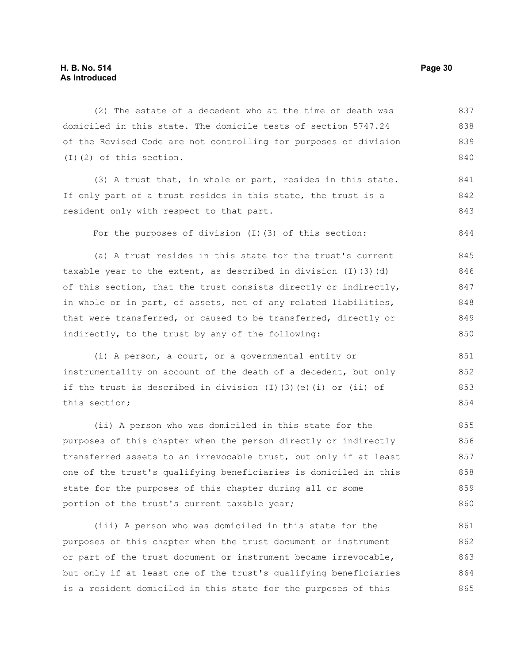(2) The estate of a decedent who at the time of death was domiciled in this state. The domicile tests of section 5747.24 of the Revised Code are not controlling for purposes of division (I)(2) of this section. 837 838 839 840

(3) A trust that, in whole or part, resides in this state. If only part of a trust resides in this state, the trust is a resident only with respect to that part. 841 842 843

For the purposes of division (I)(3) of this section:

(a) A trust resides in this state for the trust's current taxable year to the extent, as described in division  $(I)$  (3)(d) of this section, that the trust consists directly or indirectly, in whole or in part, of assets, net of any related liabilities, that were transferred, or caused to be transferred, directly or indirectly, to the trust by any of the following: 845 846 847 848 849 850

(i) A person, a court, or a governmental entity or instrumentality on account of the death of a decedent, but only if the trust is described in division (I)(3)(e)(i) or (ii) of this section; 851 852 853 854

(ii) A person who was domiciled in this state for the purposes of this chapter when the person directly or indirectly transferred assets to an irrevocable trust, but only if at least one of the trust's qualifying beneficiaries is domiciled in this state for the purposes of this chapter during all or some portion of the trust's current taxable year; 855 856 857 858 859 860

(iii) A person who was domiciled in this state for the purposes of this chapter when the trust document or instrument or part of the trust document or instrument became irrevocable, but only if at least one of the trust's qualifying beneficiaries is a resident domiciled in this state for the purposes of this 861 862 863 864 865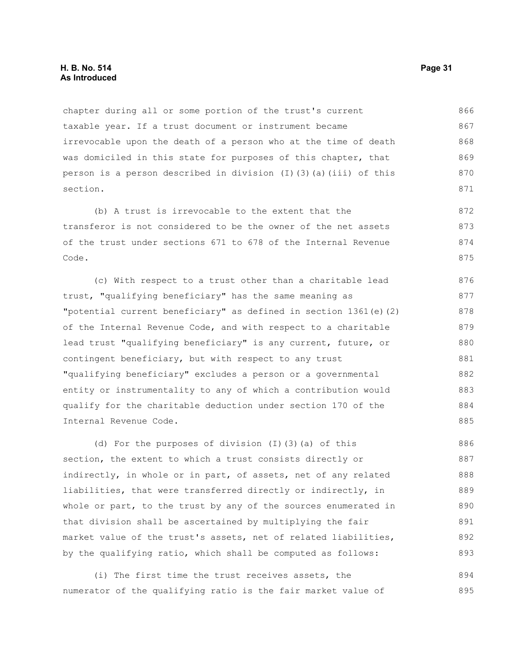chapter during all or some portion of the trust's current taxable year. If a trust document or instrument became irrevocable upon the death of a person who at the time of death was domiciled in this state for purposes of this chapter, that person is a person described in division (I)(3)(a)(iii) of this section. 866 867 868 869 870 871

(b) A trust is irrevocable to the extent that the transferor is not considered to be the owner of the net assets of the trust under sections 671 to 678 of the Internal Revenue Code. 872 873 874 875

(c) With respect to a trust other than a charitable lead trust, "qualifying beneficiary" has the same meaning as "potential current beneficiary" as defined in section 1361(e)(2) of the Internal Revenue Code, and with respect to a charitable lead trust "qualifying beneficiary" is any current, future, or contingent beneficiary, but with respect to any trust "qualifying beneficiary" excludes a person or a governmental entity or instrumentality to any of which a contribution would qualify for the charitable deduction under section 170 of the Internal Revenue Code. 876 877 878 879 880 881 882 883 884 885

(d) For the purposes of division (I)(3)(a) of this section, the extent to which a trust consists directly or indirectly, in whole or in part, of assets, net of any related liabilities, that were transferred directly or indirectly, in whole or part, to the trust by any of the sources enumerated in that division shall be ascertained by multiplying the fair market value of the trust's assets, net of related liabilities, by the qualifying ratio, which shall be computed as follows: 886 887 888 889 890 891 892 893

(i) The first time the trust receives assets, the numerator of the qualifying ratio is the fair market value of 894 895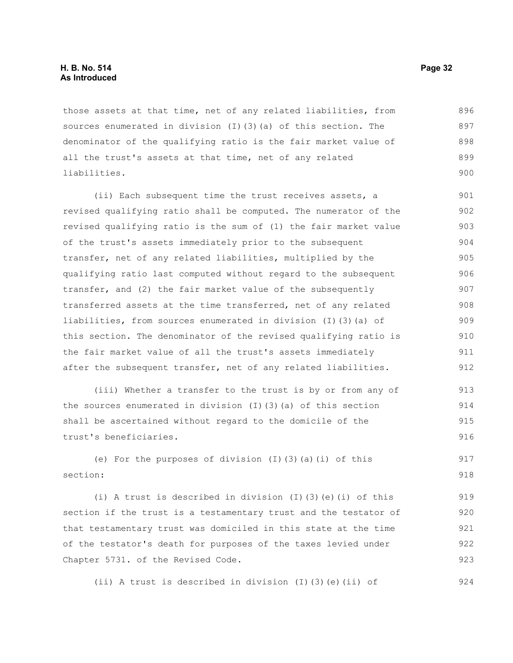those assets at that time, net of any related liabilities, from sources enumerated in division (I)(3)(a) of this section. The denominator of the qualifying ratio is the fair market value of all the trust's assets at that time, net of any related liabilities. 896 897 898 899 900

(ii) Each subsequent time the trust receives assets, a revised qualifying ratio shall be computed. The numerator of the revised qualifying ratio is the sum of (1) the fair market value of the trust's assets immediately prior to the subsequent transfer, net of any related liabilities, multiplied by the qualifying ratio last computed without regard to the subsequent transfer, and (2) the fair market value of the subsequently transferred assets at the time transferred, net of any related liabilities, from sources enumerated in division (I)(3)(a) of this section. The denominator of the revised qualifying ratio is the fair market value of all the trust's assets immediately after the subsequent transfer, net of any related liabilities. 901 902 903 904 905 906 907 908 909 910 911 912

(iii) Whether a transfer to the trust is by or from any of the sources enumerated in division (I)(3)(a) of this section shall be ascertained without regard to the domicile of the trust's beneficiaries. 913 914 915 916

(e) For the purposes of division (I)(3)(a)(i) of this section: 917 918

(i) A trust is described in division (I)(3)(e)(i) of this section if the trust is a testamentary trust and the testator of that testamentary trust was domiciled in this state at the time of the testator's death for purposes of the taxes levied under Chapter 5731. of the Revised Code. 919 920 921 922 923

(ii) A trust is described in division (I)(3)(e)(ii) of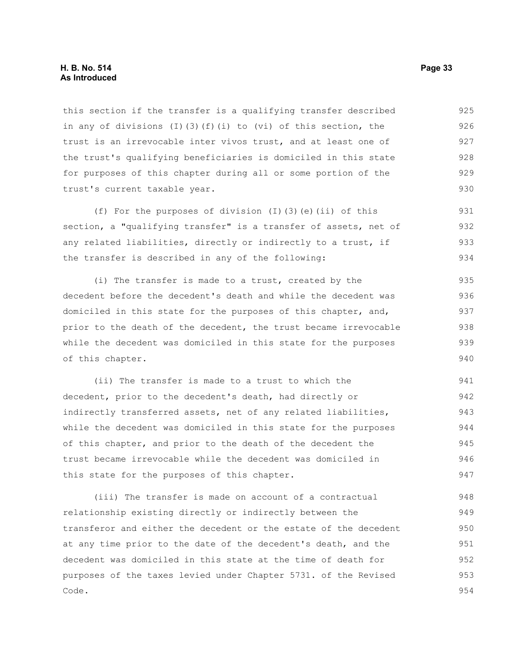#### **H. B. No. 514 Page 33 As Introduced**

this section if the transfer is a qualifying transfer described in any of divisions (I)(3)(f)(i) to (vi) of this section, the trust is an irrevocable inter vivos trust, and at least one of the trust's qualifying beneficiaries is domiciled in this state for purposes of this chapter during all or some portion of the trust's current taxable year. 925 926 927 928 929 930

(f) For the purposes of division (I)(3)(e)(ii) of this section, a "qualifying transfer" is a transfer of assets, net of any related liabilities, directly or indirectly to a trust, if the transfer is described in any of the following: 931 932 933 934

(i) The transfer is made to a trust, created by the decedent before the decedent's death and while the decedent was domiciled in this state for the purposes of this chapter, and, prior to the death of the decedent, the trust became irrevocable while the decedent was domiciled in this state for the purposes of this chapter. 935 936 937 938 939 940

(ii) The transfer is made to a trust to which the decedent, prior to the decedent's death, had directly or indirectly transferred assets, net of any related liabilities, while the decedent was domiciled in this state for the purposes of this chapter, and prior to the death of the decedent the trust became irrevocable while the decedent was domiciled in this state for the purposes of this chapter. 941 942 943 944 945 946 947

(iii) The transfer is made on account of a contractual relationship existing directly or indirectly between the transferor and either the decedent or the estate of the decedent at any time prior to the date of the decedent's death, and the decedent was domiciled in this state at the time of death for purposes of the taxes levied under Chapter 5731. of the Revised Code. 948 949 950 951 952 953 954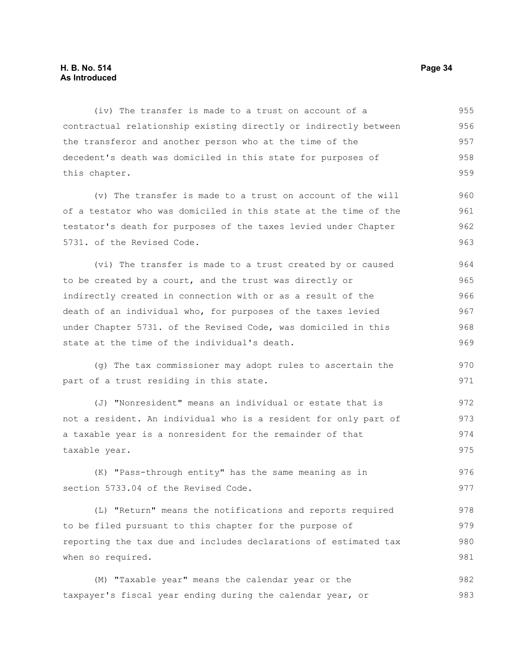#### **H. B. No. 514 Page 34 As Introduced**

(iv) The transfer is made to a trust on account of a contractual relationship existing directly or indirectly between the transferor and another person who at the time of the decedent's death was domiciled in this state for purposes of this chapter. 955 956 957 958 959

(v) The transfer is made to a trust on account of the will of a testator who was domiciled in this state at the time of the testator's death for purposes of the taxes levied under Chapter 5731. of the Revised Code. 960 961 962 963

(vi) The transfer is made to a trust created by or caused to be created by a court, and the trust was directly or indirectly created in connection with or as a result of the death of an individual who, for purposes of the taxes levied under Chapter 5731. of the Revised Code, was domiciled in this state at the time of the individual's death. 964 965 966 967 968 969

(g) The tax commissioner may adopt rules to ascertain the part of a trust residing in this state.

(J) "Nonresident" means an individual or estate that is not a resident. An individual who is a resident for only part of a taxable year is a nonresident for the remainder of that taxable year. 972 973 974 975

(K) "Pass-through entity" has the same meaning as in section 5733.04 of the Revised Code. 976 977

(L) "Return" means the notifications and reports required to be filed pursuant to this chapter for the purpose of reporting the tax due and includes declarations of estimated tax when so required. 978 979 980 981

(M) "Taxable year" means the calendar year or the taxpayer's fiscal year ending during the calendar year, or 982 983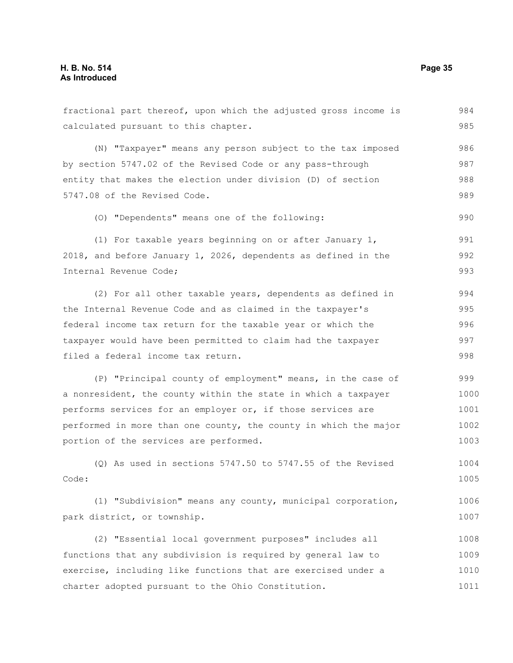| fractional part thereof, upon which the adjusted gross income is | 984  |
|------------------------------------------------------------------|------|
| calculated pursuant to this chapter.                             | 985  |
| (N) "Taxpayer" means any person subject to the tax imposed       | 986  |
| by section 5747.02 of the Revised Code or any pass-through       | 987  |
| entity that makes the election under division (D) of section     | 988  |
| 5747.08 of the Revised Code.                                     | 989  |
| (0) "Dependents" means one of the following:                     | 990  |
| (1) For taxable years beginning on or after January 1,           | 991  |
| 2018, and before January 1, 2026, dependents as defined in the   | 992  |
| Internal Revenue Code;                                           | 993  |
| (2) For all other taxable years, dependents as defined in        | 994  |
| the Internal Revenue Code and as claimed in the taxpayer's       | 995  |
| federal income tax return for the taxable year or which the      | 996  |
| taxpayer would have been permitted to claim had the taxpayer     | 997  |
| filed a federal income tax return.                               | 998  |
| (P) "Principal county of employment" means, in the case of       | 999  |
| a nonresident, the county within the state in which a taxpayer   | 1000 |
| performs services for an employer or, if those services are      | 1001 |
| performed in more than one county, the county in which the major | 1002 |
| portion of the services are performed.                           | 1003 |
| $(Q)$ As used in sections 5747.50 to 5747.55 of the Revised      | 1004 |
| Code:                                                            | 1005 |
| (1) "Subdivision" means any county, municipal corporation,       | 1006 |
| park district, or township.                                      | 1007 |
| (2) "Essential local government purposes" includes all           | 1008 |
| functions that any subdivision is required by general law to     | 1009 |
| exercise, including like functions that are exercised under a    | 1010 |
| charter adopted pursuant to the Ohio Constitution.               | 1011 |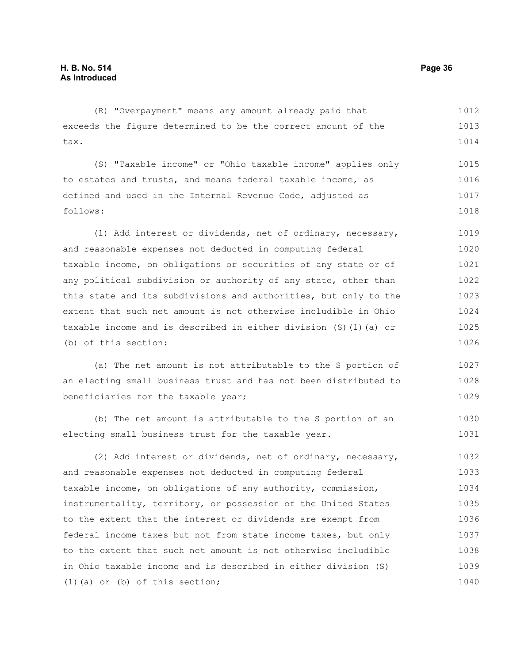#### (R) "Overpayment" means any amount already paid that exceeds the figure determined to be the correct amount of the tax. (S) "Taxable income" or "Ohio taxable income" applies only to estates and trusts, and means federal taxable income, as defined and used in the Internal Revenue Code, adjusted as follows: (1) Add interest or dividends, net of ordinary, necessary, and reasonable expenses not deducted in computing federal taxable income, on obligations or securities of any state or of any political subdivision or authority of any state, other than this state and its subdivisions and authorities, but only to the extent that such net amount is not otherwise includible in Ohio taxable income and is described in either division (S)(1)(a) or (b) of this section: (a) The net amount is not attributable to the S portion of an electing small business trust and has not been distributed to beneficiaries for the taxable year; (b) The net amount is attributable to the S portion of an electing small business trust for the taxable year. (2) Add interest or dividends, net of ordinary, necessary, and reasonable expenses not deducted in computing federal taxable income, on obligations of any authority, commission, instrumentality, territory, or possession of the United States to the extent that the interest or dividends are exempt from federal income taxes but not from state income taxes, but only to the extent that such net amount is not otherwise includible in Ohio taxable income and is described in either division (S) (1)(a) or (b) of this section; 1012 1013 1014 1015 1016 1017 1018 1019 1020 1021 1022 1023 1024 1025 1026 1027 1028 1029 1030 1031 1032 1033 1034 1035 1036 1037 1038 1039 1040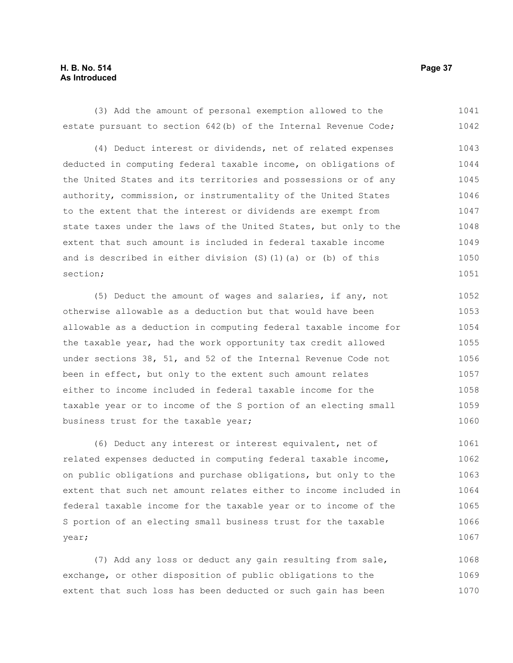### **H. B. No. 514 Page 37 As Introduced**

(3) Add the amount of personal exemption allowed to the estate pursuant to section 642(b) of the Internal Revenue Code; 1041 1042

(4) Deduct interest or dividends, net of related expenses deducted in computing federal taxable income, on obligations of the United States and its territories and possessions or of any authority, commission, or instrumentality of the United States to the extent that the interest or dividends are exempt from state taxes under the laws of the United States, but only to the extent that such amount is included in federal taxable income and is described in either division (S)(1)(a) or (b) of this section; 1043 1044 1045 1046 1047 1048 1049 1050 1051

(5) Deduct the amount of wages and salaries, if any, not otherwise allowable as a deduction but that would have been allowable as a deduction in computing federal taxable income for the taxable year, had the work opportunity tax credit allowed under sections 38, 51, and 52 of the Internal Revenue Code not been in effect, but only to the extent such amount relates either to income included in federal taxable income for the taxable year or to income of the S portion of an electing small business trust for the taxable year; 1052 1053 1054 1055 1056 1057 1058 1059 1060

(6) Deduct any interest or interest equivalent, net of related expenses deducted in computing federal taxable income, on public obligations and purchase obligations, but only to the extent that such net amount relates either to income included in federal taxable income for the taxable year or to income of the S portion of an electing small business trust for the taxable year; 1061 1062 1063 1064 1065 1066 1067

(7) Add any loss or deduct any gain resulting from sale, exchange, or other disposition of public obligations to the extent that such loss has been deducted or such gain has been 1068 1069 1070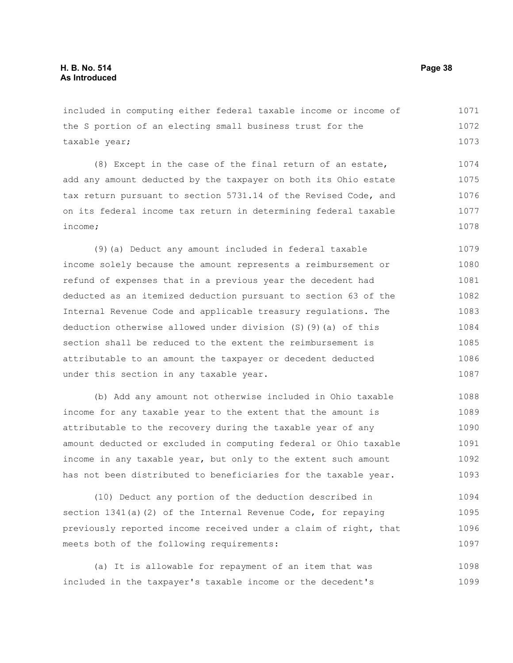included in computing either federal taxable income or income of the S portion of an electing small business trust for the taxable year; 1071 1072 1073

(8) Except in the case of the final return of an estate, add any amount deducted by the taxpayer on both its Ohio estate tax return pursuant to section 5731.14 of the Revised Code, and on its federal income tax return in determining federal taxable income; 1074 1075 1076 1077 1078

(9)(a) Deduct any amount included in federal taxable income solely because the amount represents a reimbursement or refund of expenses that in a previous year the decedent had deducted as an itemized deduction pursuant to section 63 of the Internal Revenue Code and applicable treasury regulations. The deduction otherwise allowed under division (S)(9)(a) of this section shall be reduced to the extent the reimbursement is attributable to an amount the taxpayer or decedent deducted under this section in any taxable year. 1079 1080 1081 1082 1083 1084 1085 1086 1087

(b) Add any amount not otherwise included in Ohio taxable income for any taxable year to the extent that the amount is attributable to the recovery during the taxable year of any amount deducted or excluded in computing federal or Ohio taxable income in any taxable year, but only to the extent such amount has not been distributed to beneficiaries for the taxable year. 1088 1089 1090 1091 1092 1093

(10) Deduct any portion of the deduction described in section 1341(a)(2) of the Internal Revenue Code, for repaying previously reported income received under a claim of right, that meets both of the following requirements: 1094 1095 1096 1097

(a) It is allowable for repayment of an item that was included in the taxpayer's taxable income or the decedent's 1098 1099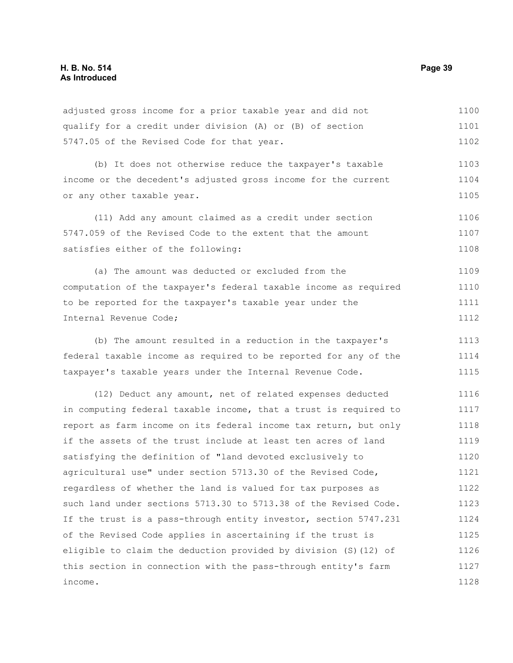adjusted gross income for a prior taxable year and did not qualify for a credit under division (A) or (B) of section 5747.05 of the Revised Code for that year. 1100 1101 1102

(b) It does not otherwise reduce the taxpayer's taxable income or the decedent's adjusted gross income for the current or any other taxable year. 1103 1104 1105

(11) Add any amount claimed as a credit under section 5747.059 of the Revised Code to the extent that the amount satisfies either of the following: 1106 1107 1108

(a) The amount was deducted or excluded from the computation of the taxpayer's federal taxable income as required to be reported for the taxpayer's taxable year under the Internal Revenue Code; 1109 1110 1111 1112

(b) The amount resulted in a reduction in the taxpayer's federal taxable income as required to be reported for any of the taxpayer's taxable years under the Internal Revenue Code. 1113 1114 1115

(12) Deduct any amount, net of related expenses deducted in computing federal taxable income, that a trust is required to report as farm income on its federal income tax return, but only if the assets of the trust include at least ten acres of land satisfying the definition of "land devoted exclusively to agricultural use" under section 5713.30 of the Revised Code, regardless of whether the land is valued for tax purposes as such land under sections 5713.30 to 5713.38 of the Revised Code. If the trust is a pass-through entity investor, section 5747.231 of the Revised Code applies in ascertaining if the trust is eligible to claim the deduction provided by division (S)(12) of this section in connection with the pass-through entity's farm income. 1116 1117 1118 1119 1120 1121 1122 1123 1124 1125 1126 1127 1128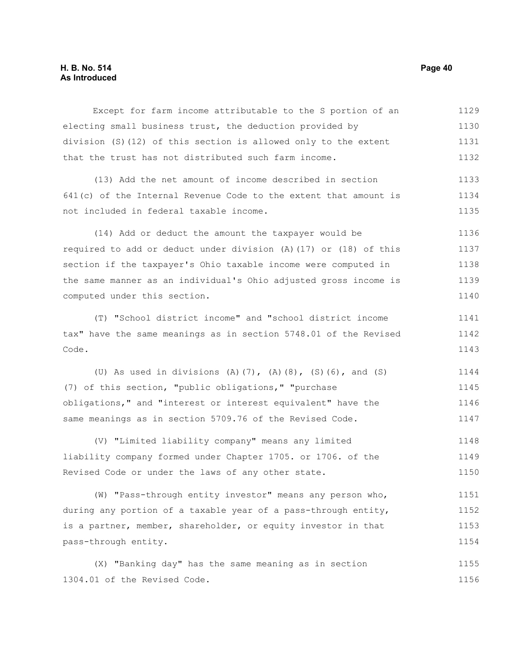### **H. B. No. 514 Page 40 As Introduced**

Except for farm income attributable to the S portion of an electing small business trust, the deduction provided by division (S)(12) of this section is allowed only to the extent that the trust has not distributed such farm income. 1129 1130 1131 1132

(13) Add the net amount of income described in section 641(c) of the Internal Revenue Code to the extent that amount is not included in federal taxable income. 1133 1134 1135

(14) Add or deduct the amount the taxpayer would be required to add or deduct under division (A)(17) or (18) of this section if the taxpayer's Ohio taxable income were computed in the same manner as an individual's Ohio adjusted gross income is computed under this section. 1136 1137 1138 1139 1140

(T) "School district income" and "school district income tax" have the same meanings as in section 5748.01 of the Revised Code. 1141 1142 1143

(U) As used in divisions (A)(7), (A)(8), (S)(6), and (S) (7) of this section, "public obligations," "purchase obligations," and "interest or interest equivalent" have the same meanings as in section 5709.76 of the Revised Code. 1144 1145 1146 1147

(V) "Limited liability company" means any limited liability company formed under Chapter 1705. or 1706. of the Revised Code or under the laws of any other state. 1148 1149 1150

(W) "Pass-through entity investor" means any person who, during any portion of a taxable year of a pass-through entity, is a partner, member, shareholder, or equity investor in that pass-through entity. 1151 1152 1153 1154

(X) "Banking day" has the same meaning as in section 1304.01 of the Revised Code. 1155 1156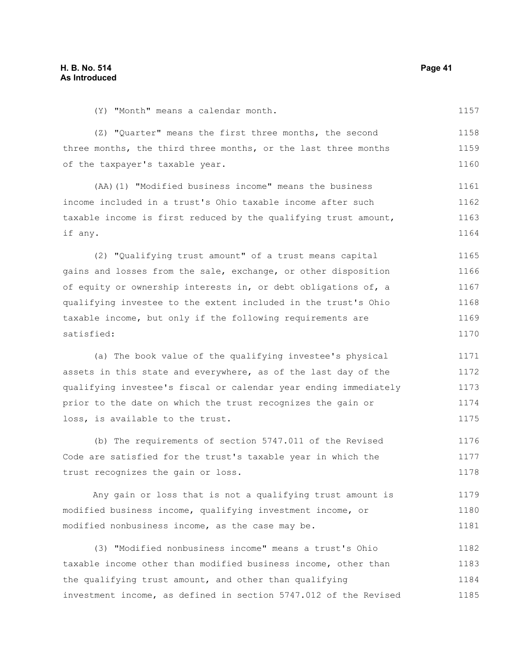1157

(Y) "Month" means a calendar month.

(Z) "Quarter" means the first three months, the second three months, the third three months, or the last three months of the taxpayer's taxable year. 1158 1159 1160

(AA)(1) "Modified business income" means the business income included in a trust's Ohio taxable income after such taxable income is first reduced by the qualifying trust amount, if any. 1161 1162 1163 1164

(2) "Qualifying trust amount" of a trust means capital gains and losses from the sale, exchange, or other disposition of equity or ownership interests in, or debt obligations of, a qualifying investee to the extent included in the trust's Ohio taxable income, but only if the following requirements are satisfied: 1165 1166 1167 1168 1169 1170

(a) The book value of the qualifying investee's physical assets in this state and everywhere, as of the last day of the qualifying investee's fiscal or calendar year ending immediately prior to the date on which the trust recognizes the gain or loss, is available to the trust. 1171 1172 1173 1174 1175

(b) The requirements of section 5747.011 of the Revised Code are satisfied for the trust's taxable year in which the trust recognizes the gain or loss. 1176 1177 1178

Any gain or loss that is not a qualifying trust amount is modified business income, qualifying investment income, or modified nonbusiness income, as the case may be. 1179 1180 1181

(3) "Modified nonbusiness income" means a trust's Ohio taxable income other than modified business income, other than the qualifying trust amount, and other than qualifying investment income, as defined in section 5747.012 of the Revised 1182 1183 1184 1185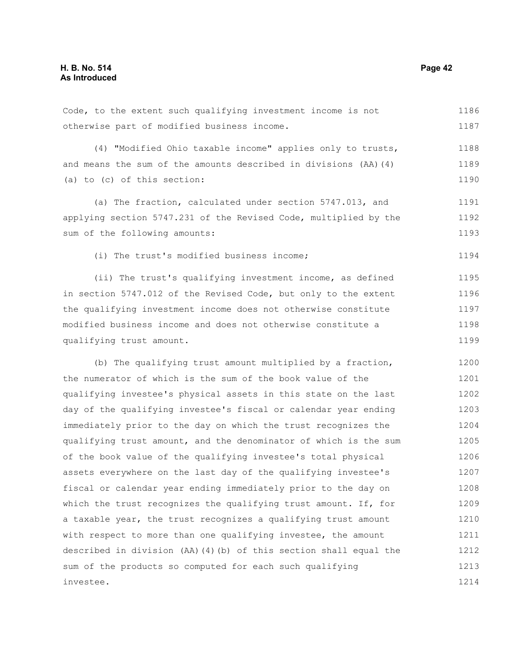Code, to the extent such qualifying investment income is not otherwise part of modified business income. 1186 1187

(4) "Modified Ohio taxable income" applies only to trusts, and means the sum of the amounts described in divisions (AA)(4) (a) to (c) of this section: 1188 1189 1190

(a) The fraction, calculated under section 5747.013, and applying section 5747.231 of the Revised Code, multiplied by the sum of the following amounts: 1191 1192 1193

(i) The trust's modified business income;

(ii) The trust's qualifying investment income, as defined in section 5747.012 of the Revised Code, but only to the extent the qualifying investment income does not otherwise constitute modified business income and does not otherwise constitute a qualifying trust amount. 1195 1196 1197 1198 1199

(b) The qualifying trust amount multiplied by a fraction, the numerator of which is the sum of the book value of the qualifying investee's physical assets in this state on the last day of the qualifying investee's fiscal or calendar year ending immediately prior to the day on which the trust recognizes the qualifying trust amount, and the denominator of which is the sum of the book value of the qualifying investee's total physical assets everywhere on the last day of the qualifying investee's fiscal or calendar year ending immediately prior to the day on which the trust recognizes the qualifying trust amount. If, for a taxable year, the trust recognizes a qualifying trust amount with respect to more than one qualifying investee, the amount described in division (AA)(4)(b) of this section shall equal the sum of the products so computed for each such qualifying investee. 1200 1201 1202 1203 1204 1205 1206 1207 1208 1209 1210 1211 1212 1213 1214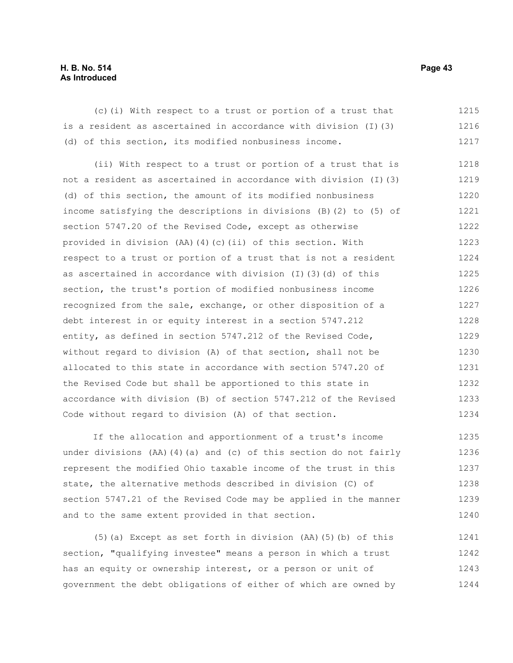### **H. B. No. 514 Page 43 As Introduced**

(c)(i) With respect to a trust or portion of a trust that is a resident as ascertained in accordance with division (I)(3) (d) of this section, its modified nonbusiness income. 1215 1216 1217

(ii) With respect to a trust or portion of a trust that is not a resident as ascertained in accordance with division (I)(3) (d) of this section, the amount of its modified nonbusiness income satisfying the descriptions in divisions (B)(2) to (5) of section 5747.20 of the Revised Code, except as otherwise provided in division (AA)(4)(c)(ii) of this section. With respect to a trust or portion of a trust that is not a resident as ascertained in accordance with division (I)(3)(d) of this section, the trust's portion of modified nonbusiness income recognized from the sale, exchange, or other disposition of a debt interest in or equity interest in a section 5747.212 entity, as defined in section 5747.212 of the Revised Code, without regard to division (A) of that section, shall not be allocated to this state in accordance with section 5747.20 of the Revised Code but shall be apportioned to this state in accordance with division (B) of section 5747.212 of the Revised Code without regard to division (A) of that section. 1218 1219 1220 1221 1222 1223 1224 1225 1226 1227 1228 1229 1230 1231 1232 1233 1234

If the allocation and apportionment of a trust's income under divisions (AA)(4)(a) and (c) of this section do not fairly represent the modified Ohio taxable income of the trust in this state, the alternative methods described in division (C) of section 5747.21 of the Revised Code may be applied in the manner and to the same extent provided in that section. 1235 1236 1237 1238 1239 1240

(5)(a) Except as set forth in division (AA)(5)(b) of this section, "qualifying investee" means a person in which a trust has an equity or ownership interest, or a person or unit of government the debt obligations of either of which are owned by 1241 1242 1243 1244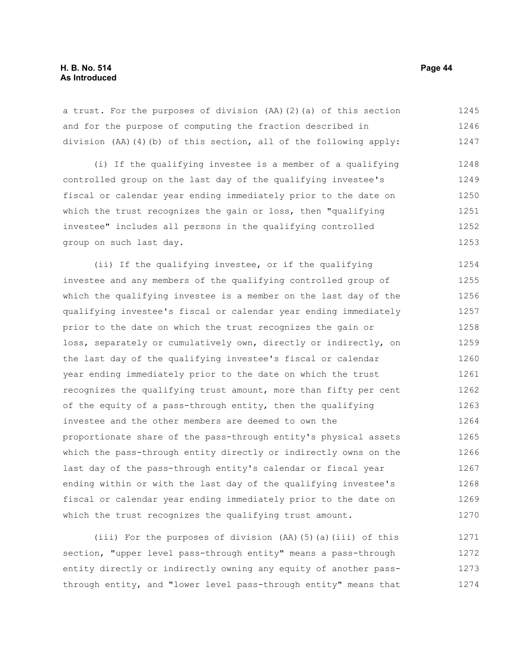a trust. For the purposes of division (AA)(2)(a) of this section and for the purpose of computing the fraction described in division (AA)(4)(b) of this section, all of the following apply: 1245 1246 1247

(i) If the qualifying investee is a member of a qualifying controlled group on the last day of the qualifying investee's fiscal or calendar year ending immediately prior to the date on which the trust recognizes the gain or loss, then "qualifying investee" includes all persons in the qualifying controlled group on such last day. 1248 1249 1250 1251 1252 1253

(ii) If the qualifying investee, or if the qualifying investee and any members of the qualifying controlled group of which the qualifying investee is a member on the last day of the qualifying investee's fiscal or calendar year ending immediately prior to the date on which the trust recognizes the gain or loss, separately or cumulatively own, directly or indirectly, on the last day of the qualifying investee's fiscal or calendar year ending immediately prior to the date on which the trust recognizes the qualifying trust amount, more than fifty per cent of the equity of a pass-through entity, then the qualifying investee and the other members are deemed to own the proportionate share of the pass-through entity's physical assets which the pass-through entity directly or indirectly owns on the last day of the pass-through entity's calendar or fiscal year ending within or with the last day of the qualifying investee's fiscal or calendar year ending immediately prior to the date on which the trust recognizes the qualifying trust amount. 1254 1255 1256 1257 1258 1259 1260 1261 1262 1263 1264 1265 1266 1267 1268 1269 1270

(iii) For the purposes of division (AA)(5)(a)(iii) of this section, "upper level pass-through entity" means a pass-through entity directly or indirectly owning any equity of another passthrough entity, and "lower level pass-through entity" means that 1271 1272 1273 1274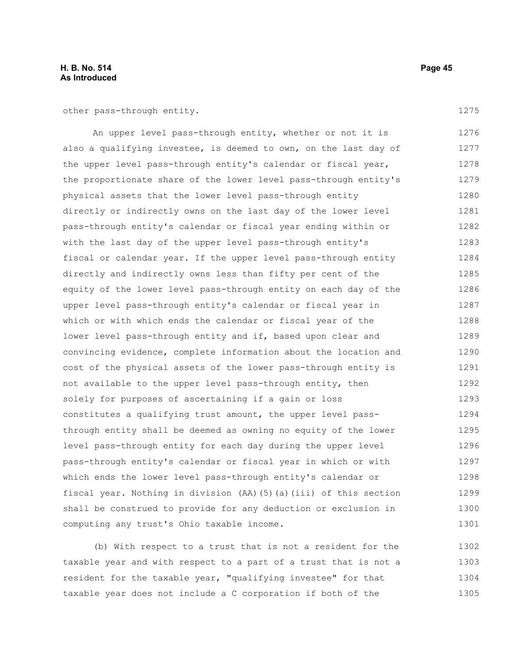### **H. B. No. 514 Page 45 As Introduced**

other pass-through entity.

An upper level pass-through entity, whether or not it is also a qualifying investee, is deemed to own, on the last day of the upper level pass-through entity's calendar or fiscal year, the proportionate share of the lower level pass-through entity's physical assets that the lower level pass-through entity directly or indirectly owns on the last day of the lower level pass-through entity's calendar or fiscal year ending within or with the last day of the upper level pass-through entity's fiscal or calendar year. If the upper level pass-through entity directly and indirectly owns less than fifty per cent of the equity of the lower level pass-through entity on each day of the upper level pass-through entity's calendar or fiscal year in which or with which ends the calendar or fiscal year of the lower level pass-through entity and if, based upon clear and convincing evidence, complete information about the location and cost of the physical assets of the lower pass-through entity is not available to the upper level pass-through entity, then solely for purposes of ascertaining if a gain or loss constitutes a qualifying trust amount, the upper level passthrough entity shall be deemed as owning no equity of the lower level pass-through entity for each day during the upper level pass-through entity's calendar or fiscal year in which or with which ends the lower level pass-through entity's calendar or fiscal year. Nothing in division (AA)(5)(a)(iii) of this section shall be construed to provide for any deduction or exclusion in computing any trust's Ohio taxable income. 1276 1277 1278 1279 1280 1281 1282 1283 1284 1285 1286 1287 1288 1289 1290 1291 1292 1293 1294 1295 1296 1297 1298 1299 1300 1301

(b) With respect to a trust that is not a resident for the taxable year and with respect to a part of a trust that is not a resident for the taxable year, "qualifying investee" for that taxable year does not include a C corporation if both of the 1302 1303 1304 1305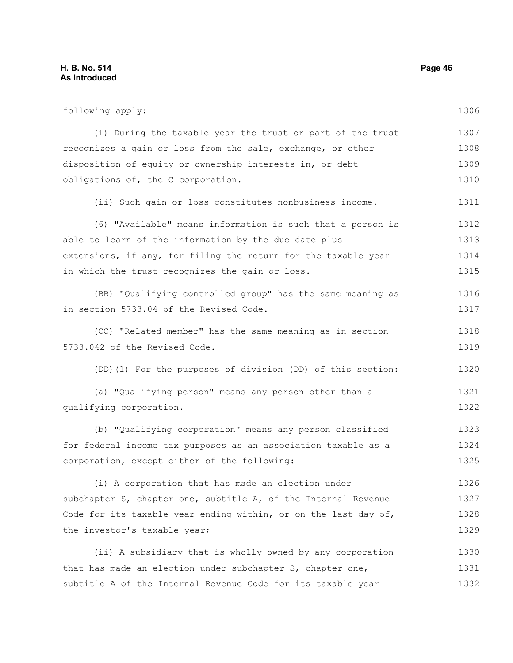following apply: (i) During the taxable year the trust or part of the trust recognizes a gain or loss from the sale, exchange, or other disposition of equity or ownership interests in, or debt obligations of, the C corporation. (ii) Such gain or loss constitutes nonbusiness income. (6) "Available" means information is such that a person is able to learn of the information by the due date plus extensions, if any, for filing the return for the taxable year in which the trust recognizes the gain or loss. (BB) "Qualifying controlled group" has the same meaning as in section 5733.04 of the Revised Code. (CC) "Related member" has the same meaning as in section 5733.042 of the Revised Code. (DD)(1) For the purposes of division (DD) of this section: (a) "Qualifying person" means any person other than a qualifying corporation. (b) "Qualifying corporation" means any person classified for federal income tax purposes as an association taxable as a corporation, except either of the following: (i) A corporation that has made an election under subchapter S, chapter one, subtitle A, of the Internal Revenue Code for its taxable year ending within, or on the last day of, the investor's taxable year; (ii) A subsidiary that is wholly owned by any corporation that has made an election under subchapter S, chapter one, 1306 1307 1308 1309 1310 1311 1312 1313 1314 1315 1316 1317 1318 1319 1320 1321 1322 1323 1324 1325 1326 1327 1328 1329 1330 1331

subtitle A of the Internal Revenue Code for its taxable year 1332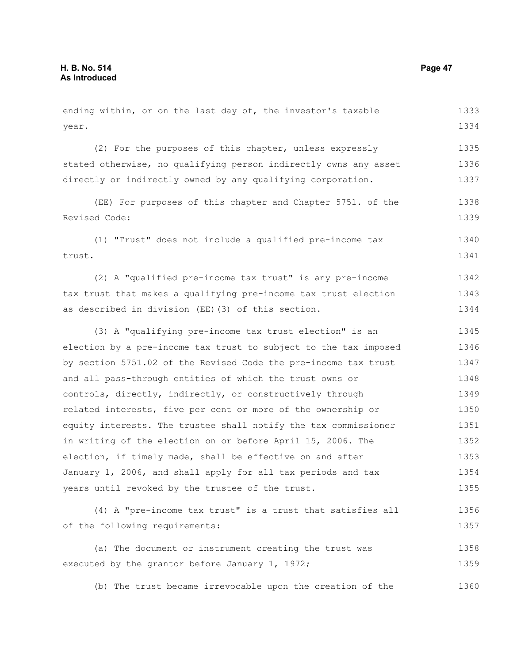year. (2) For the purposes of this chapter, unless expressly stated otherwise, no qualifying person indirectly owns any asset directly or indirectly owned by any qualifying corporation. (EE) For purposes of this chapter and Chapter 5751. of the Revised Code: (1) "Trust" does not include a qualified pre-income tax trust. (2) A "qualified pre-income tax trust" is any pre-income tax trust that makes a qualifying pre-income tax trust election as described in division (EE)(3) of this section. (3) A "qualifying pre-income tax trust election" is an election by a pre-income tax trust to subject to the tax imposed by section 5751.02 of the Revised Code the pre-income tax trust and all pass-through entities of which the trust owns or controls, directly, indirectly, or constructively through related interests, five per cent or more of the ownership or equity interests. The trustee shall notify the tax commissioner in writing of the election on or before April 15, 2006. The election, if timely made, shall be effective on and after January 1, 2006, and shall apply for all tax periods and tax years until revoked by the trustee of the trust. (4) A "pre-income tax trust" is a trust that satisfies all of the following requirements: (a) The document or instrument creating the trust was executed by the grantor before January 1, 1972; 1334 1335 1336 1337 1338 1339 1340 1341 1342 1343 1344 1345 1346 1347 1348 1349 1350 1351 1352 1353 1354 1355 1356 1357 1358 1359

ending within, or on the last day of, the investor's taxable

(b) The trust became irrevocable upon the creation of the 1360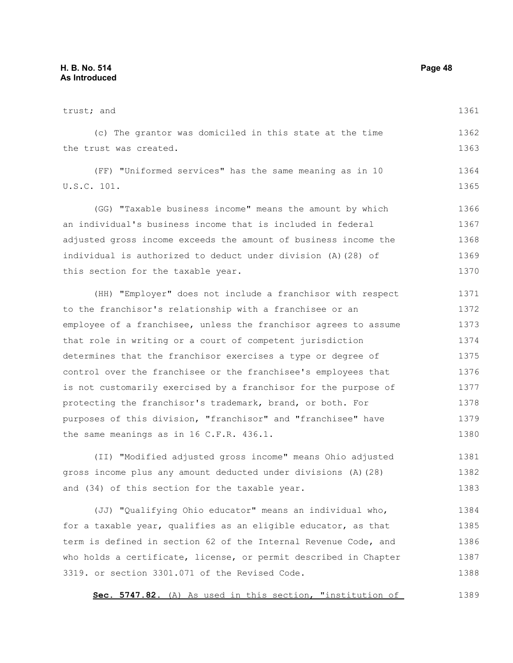trust; and (c) The grantor was domiciled in this state at the time the trust was created. (FF) "Uniformed services" has the same meaning as in 10 U.S.C. 101. (GG) "Taxable business income" means the amount by which an individual's business income that is included in federal adjusted gross income exceeds the amount of business income the individual is authorized to deduct under division (A)(28) of this section for the taxable year. (HH) "Employer" does not include a franchisor with respect to the franchisor's relationship with a franchisee or an employee of a franchisee, unless the franchisor agrees to assume that role in writing or a court of competent jurisdiction determines that the franchisor exercises a type or degree of control over the franchisee or the franchisee's employees that is not customarily exercised by a franchisor for the purpose of protecting the franchisor's trademark, brand, or both. For purposes of this division, "franchisor" and "franchisee" have the same meanings as in 16 C.F.R. 436.1. (II) "Modified adjusted gross income" means Ohio adjusted gross income plus any amount deducted under divisions (A)(28) and (34) of this section for the taxable year. 1361 1362 1363 1364 1365 1366 1367 1368 1369 1370 1371 1372 1373 1374 1375 1376 1377 1378 1379 1380 1381 1382 1383

(JJ) "Qualifying Ohio educator" means an individual who, for a taxable year, qualifies as an eligible educator, as that term is defined in section 62 of the Internal Revenue Code, and who holds a certificate, license, or permit described in Chapter 3319. or section 3301.071 of the Revised Code. 1384 1385 1386 1387 1388

Sec. 5747.82. (A) As used in this section, "institution of 1389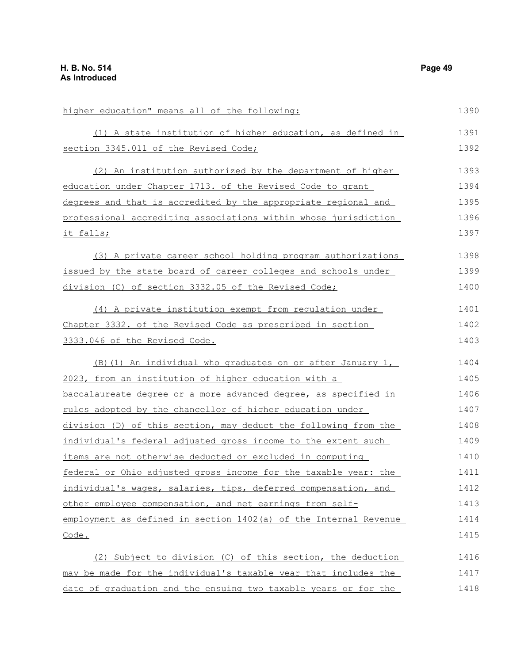| higher education" means all of the following:                    | 1390 |
|------------------------------------------------------------------|------|
| (1) A state institution of higher education, as defined in       | 1391 |
| section 3345.011 of the Revised Code;                            | 1392 |
| (2) An institution authorized by the department of higher        | 1393 |
| education under Chapter 1713. of the Revised Code to grant       | 1394 |
| degrees and that is accredited by the appropriate regional and   | 1395 |
| professional accrediting associations within whose jurisdiction  | 1396 |
| <u>it falls;</u>                                                 | 1397 |
| (3) A private career school holding program authorizations       | 1398 |
| issued by the state board of career colleges and schools under   | 1399 |
| division (C) of section 3332.05 of the Revised Code;             | 1400 |
| (4) A private institution exempt from regulation under           | 1401 |
| Chapter 3332. of the Revised Code as prescribed in section       | 1402 |
| 3333.046 of the Revised Code.                                    | 1403 |
| (B) (1) An individual who graduates on or after January 1,       | 1404 |
| 2023, from an institution of higher education with a             | 1405 |
| baccalaureate degree or a more advanced degree, as specified in  | 1406 |
| rules adopted by the chancellor of higher education under        | 1407 |
| division (D) of this section, may deduct the following from the  | 1408 |
| individual's federal adjusted gross income to the extent such    | 1409 |
| items are not otherwise deducted or excluded in computing        | 1410 |
| federal or Ohio adjusted gross income for the taxable year: the  | 1411 |
| individual's wages, salaries, tips, deferred compensation, and   | 1412 |
| other employee compensation, and net earnings from self-         | 1413 |
| employment as defined in section 1402(a) of the Internal Revenue | 1414 |
| Code.                                                            | 1415 |
| (2) Subject to division (C) of this section, the deduction       | 1416 |
| may be made for the individual's taxable year that includes the  | 1417 |

date of graduation and the ensuing two taxable years or for the 1418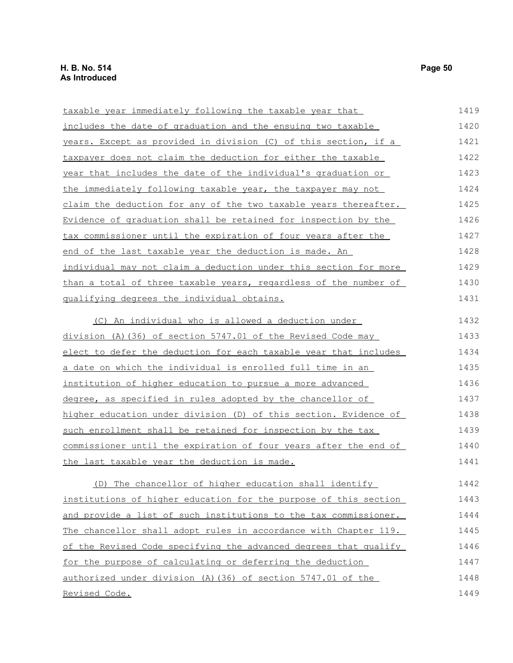| taxable year immediately following the taxable year that         | 1419 |
|------------------------------------------------------------------|------|
| includes the date of graduation and the ensuing two taxable      | 1420 |
| years. Except as provided in division (C) of this section, if a  | 1421 |
| taxpayer does not claim the deduction for either the taxable     | 1422 |
| year that includes the date of the individual's graduation or    | 1423 |
| the immediately following taxable year, the taxpayer may not     | 1424 |
| claim the deduction for any of the two taxable years thereafter. | 1425 |
| Evidence of graduation shall be retained for inspection by the   | 1426 |
| tax commissioner until the expiration of four years after the    | 1427 |
| end of the last taxable year the deduction is made. An           | 1428 |
| individual may not claim a deduction under this section for more | 1429 |
| than a total of three taxable years, regardless of the number of | 1430 |
| qualifying degrees the individual obtains.                       | 1431 |
| (C) An individual who is allowed a deduction under               | 1432 |
| division (A) (36) of section 5747.01 of the Revised Code may     | 1433 |
| elect to defer the deduction for each taxable year that includes | 1434 |
| a date on which the individual is enrolled full time in an       | 1435 |
| institution of higher education to pursue a more advanced        | 1436 |
| degree, as specified in rules adopted by the chancellor of       | 1437 |
| higher education under division (D) of this section. Evidence of | 1438 |
| such enrollment shall be retained for inspection by the tax      | 1439 |
| commissioner until the expiration of four years after the end of | 1440 |
| the last taxable year the deduction is made.                     | 1441 |
| (D) The chancellor of higher education shall identify            | 1442 |
| institutions of higher education for the purpose of this section | 1443 |
| and provide a list of such institutions to the tax commissioner. | 1444 |
| The chancellor shall adopt rules in accordance with Chapter 119. | 1445 |
| of the Revised Code specifying the advanced degrees that qualify | 1446 |
| for the purpose of calculating or deferring the deduction        | 1447 |
| authorized under division (A) (36) of section 5747.01 of the     | 1448 |
| Revised Code.                                                    | 1449 |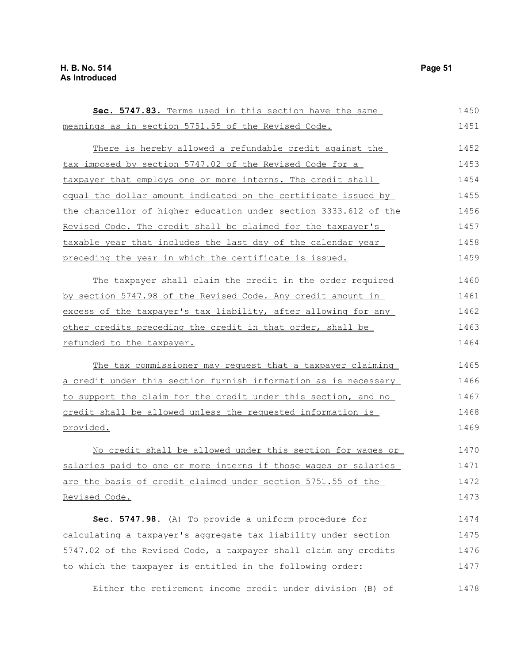| Sec. 5747.83. Terms used in this section have the same           | 1450 |
|------------------------------------------------------------------|------|
| meanings as in section 5751.55 of the Revised Code.              | 1451 |
|                                                                  |      |
| There is hereby allowed a refundable credit against the          | 1452 |
| tax imposed by section 5747.02 of the Revised Code for a         | 1453 |
| taxpayer that employs one or more interns. The credit shall      | 1454 |
| equal the dollar amount indicated on the certificate issued by   | 1455 |
| the chancellor of higher education under section 3333.612 of the | 1456 |
| Revised Code. The credit shall be claimed for the taxpayer's     | 1457 |
| taxable year that includes the last day of the calendar year     | 1458 |
| preceding the year in which the certificate is issued.           | 1459 |
| The taxpayer shall claim the credit in the order required        | 1460 |
| by section 5747.98 of the Revised Code. Any credit amount in     | 1461 |
| excess of the taxpayer's tax liability, after allowing for any   | 1462 |
| other credits preceding the credit in that order, shall be       | 1463 |
| refunded to the taxpayer.                                        | 1464 |
| The tax commissioner may request that a taxpayer claiming        | 1465 |
| a credit under this section furnish information as is necessary  | 1466 |
| to support the claim for the credit under this section, and no   | 1467 |
| credit shall be allowed unless the requested information is      | 1468 |
| provided.                                                        | 1469 |
| No credit shall be allowed under this section for wages or       | 1470 |
| salaries paid to one or more interns if those wages or salaries  | 1471 |
| are the basis of credit claimed under section 5751.55 of the     | 1472 |
| Revised Code.                                                    | 1473 |
| Sec. 5747.98. (A) To provide a uniform procedure for             | 1474 |
| calculating a taxpayer's aggregate tax liability under section   | 1475 |
| 5747.02 of the Revised Code, a taxpayer shall claim any credits  | 1476 |
| to which the taxpayer is entitled in the following order:        | 1477 |
| Either the retirement income credit under division (B) of        | 1478 |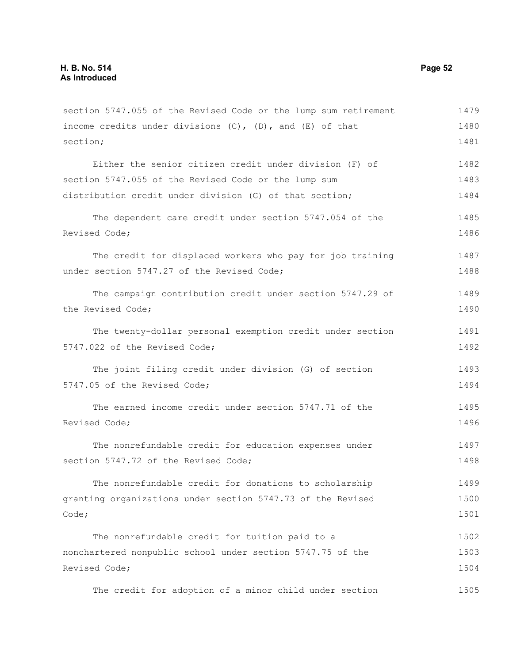section 5747.055 of the Revised Code or the lump sum retirement income credits under divisions  $(C)$ ,  $(D)$ , and  $(E)$  of that section; Either the senior citizen credit under division (F) of section 5747.055 of the Revised Code or the lump sum distribution credit under division (G) of that section; The dependent care credit under section 5747.054 of the Revised Code; The credit for displaced workers who pay for job training under section 5747.27 of the Revised Code; The campaign contribution credit under section 5747.29 of the Revised Code; The twenty-dollar personal exemption credit under section 5747.022 of the Revised Code; The joint filing credit under division (G) of section 5747.05 of the Revised Code; The earned income credit under section 5747.71 of the Revised Code; The nonrefundable credit for education expenses under section 5747.72 of the Revised Code: The nonrefundable credit for donations to scholarship granting organizations under section 5747.73 of the Revised Code; The nonrefundable credit for tuition paid to a nonchartered nonpublic school under section 5747.75 of the Revised Code; The credit for adoption of a minor child under section 1479 1480 1481 1482 1483 1484 1485 1486 1487 1488 1489 1490 1491 1492 1493 1494 1495 1496 1497 1498 1499 1500 1501 1502 1503 1504 1505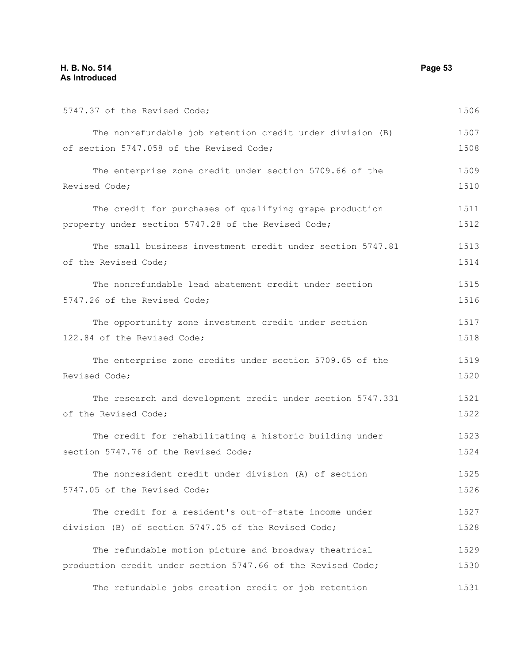| 5747.37 of the Revised Code;                                 | 1506 |
|--------------------------------------------------------------|------|
| The nonrefundable job retention credit under division (B)    | 1507 |
| of section 5747.058 of the Revised Code;                     | 1508 |
| The enterprise zone credit under section 5709.66 of the      | 1509 |
| Revised Code;                                                | 1510 |
| The credit for purchases of qualifying grape production      | 1511 |
| property under section 5747.28 of the Revised Code;          | 1512 |
| The small business investment credit under section 5747.81   | 1513 |
| of the Revised Code;                                         | 1514 |
| The nonrefundable lead abatement credit under section        | 1515 |
| 5747.26 of the Revised Code;                                 | 1516 |
| The opportunity zone investment credit under section         | 1517 |
| 122.84 of the Revised Code;                                  | 1518 |
| The enterprise zone credits under section 5709.65 of the     | 1519 |
| Revised Code;                                                | 1520 |
| The research and development credit under section 5747.331   | 1521 |
| of the Revised Code;                                         | 1522 |
| The credit for rehabilitating a historic building under      | 1523 |
| section 5747.76 of the Revised Code;                         | 1524 |
| The nonresident credit under division (A) of section         | 1525 |
| 5747.05 of the Revised Code;                                 | 1526 |
| The credit for a resident's out-of-state income under        | 1527 |
| division (B) of section 5747.05 of the Revised Code;         | 1528 |
| The refundable motion picture and broadway theatrical        | 1529 |
| production credit under section 5747.66 of the Revised Code; | 1530 |
| The refundable jobs creation credit or job retention         | 1531 |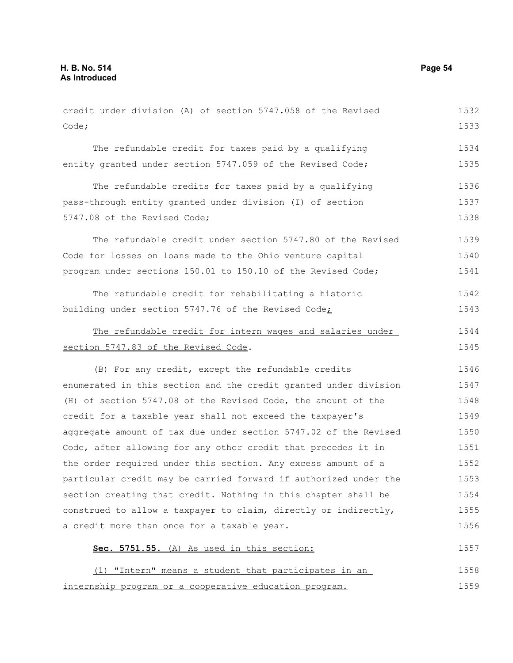credit under division (A) of section 5747.058 of the Revised Code; The refundable credit for taxes paid by a qualifying entity granted under section 5747.059 of the Revised Code; The refundable credits for taxes paid by a qualifying pass-through entity granted under division (I) of section 5747.08 of the Revised Code; The refundable credit under section 5747.80 of the Revised Code for losses on loans made to the Ohio venture capital program under sections 150.01 to 150.10 of the Revised Code; The refundable credit for rehabilitating a historic building under section 5747.76 of the Revised Code; The refundable credit for intern wages and salaries under section 5747.83 of the Revised Code. (B) For any credit, except the refundable credits enumerated in this section and the credit granted under division (H) of section 5747.08 of the Revised Code, the amount of the credit for a taxable year shall not exceed the taxpayer's aggregate amount of tax due under section 5747.02 of the Revised Code, after allowing for any other credit that precedes it in the order required under this section. Any excess amount of a particular credit may be carried forward if authorized under the section creating that credit. Nothing in this chapter shall be construed to allow a taxpayer to claim, directly or indirectly, a credit more than once for a taxable year. **Sec. 5751.55.** (A) As used in this section: (1) "Intern" means a student that participates in an internship program or a cooperative education program. 1532 1533 1534 1535 1536 1537 1538 1539 1540 1541 1542 1543 1544 1545 1546 1547 1548 1549 1550 1551 1552 1553 1554 1555 1556 1557 1558 1559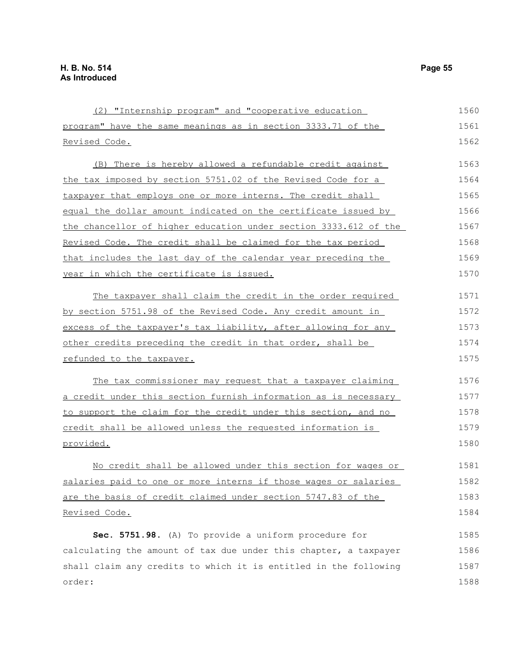(2) "Internship program" and "cooperative education program" have the same meanings as in section 3333.71 of the Revised Code. (B) There is hereby allowed a refundable credit against the tax imposed by section 5751.02 of the Revised Code for a taxpayer that employs one or more interns. The credit shall equal the dollar amount indicated on the certificate issued by the chancellor of higher education under section 3333.612 of the Revised Code. The credit shall be claimed for the tax period that includes the last day of the calendar year preceding the year in which the certificate is issued. The taxpayer shall claim the credit in the order required by section 5751.98 of the Revised Code. Any credit amount in excess of the taxpayer's tax liability, after allowing for any other credits preceding the credit in that order, shall be refunded to the taxpayer. The tax commissioner may request that a taxpayer claiming a credit under this section furnish information as is necessary to support the claim for the credit under this section, and no credit shall be allowed unless the requested information is provided. No credit shall be allowed under this section for wages or salaries paid to one or more interns if those wages or salaries are the basis of credit claimed under section 5747.83 of the Revised Code. **Sec. 5751.98.** (A) To provide a uniform procedure for calculating the amount of tax due under this chapter, a taxpayer shall claim any credits to which it is entitled in the following order: 1560 1561 1562 1563 1564 1565 1566 1567 1568 1569 1570 1571 1572 1573 1574 1575 1576 1577 1578 1579 1580 1581 1582 1583 1584 1585 1586 1587 1588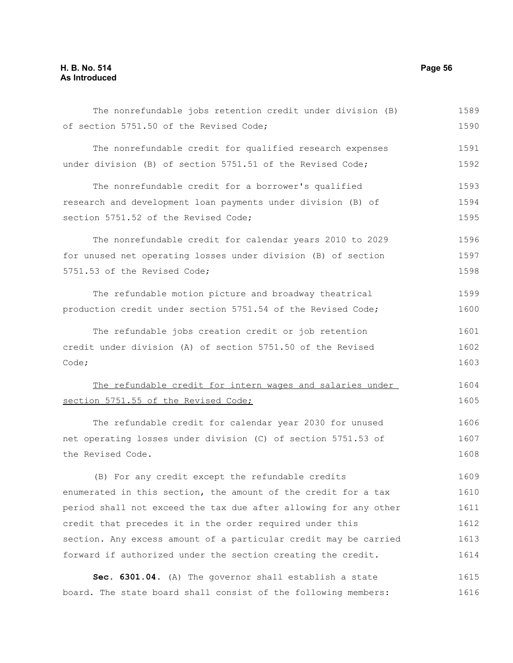## **H. B. No. 514 Page 56 As Introduced**

| The nonrefundable jobs retention credit under division (B)       | 1589 |
|------------------------------------------------------------------|------|
| of section 5751.50 of the Revised Code;                          | 1590 |
| The nonrefundable credit for qualified research expenses         | 1591 |
| under division (B) of section 5751.51 of the Revised Code;       | 1592 |
| The nonrefundable credit for a borrower's qualified              | 1593 |
| research and development loan payments under division (B) of     | 1594 |
| section 5751.52 of the Revised Code;                             | 1595 |
| The nonrefundable credit for calendar years 2010 to 2029         | 1596 |
| for unused net operating losses under division (B) of section    | 1597 |
| 5751.53 of the Revised Code;                                     | 1598 |
| The refundable motion picture and broadway theatrical            | 1599 |
| production credit under section 5751.54 of the Revised Code;     | 1600 |
| The refundable jobs creation credit or job retention             | 1601 |
| credit under division (A) of section 5751.50 of the Revised      | 1602 |
| Code;                                                            | 1603 |
| The refundable credit for intern wages and salaries under        | 1604 |
| section 5751.55 of the Revised Code;                             | 1605 |
| The refundable credit for calendar year 2030 for unused          | 1606 |
| net operating losses under division (C) of section 5751.53 of    | 1607 |
| the Revised Code.                                                | 1608 |
| (B) For any credit except the refundable credits                 | 1609 |
| enumerated in this section, the amount of the credit for a tax   | 1610 |
| period shall not exceed the tax due after allowing for any other | 1611 |
| credit that precedes it in the order required under this         | 1612 |
| section. Any excess amount of a particular credit may be carried | 1613 |
| forward if authorized under the section creating the credit.     | 1614 |
| Sec. 6301.04. (A) The governor shall establish a state           | 1615 |
| board. The state board shall consist of the following members:   | 1616 |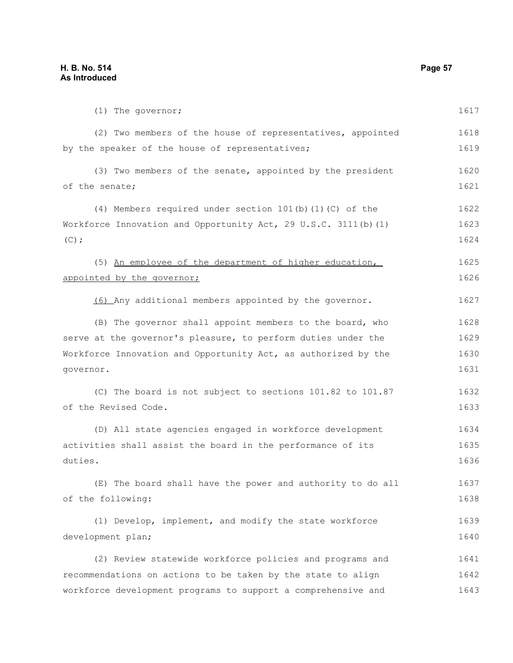(1) The governor; (2) Two members of the house of representatives, appointed by the speaker of the house of representatives; (3) Two members of the senate, appointed by the president of the senate; (4) Members required under section 101(b)(1)(C) of the Workforce Innovation and Opportunity Act, 29 U.S.C. 3111(b)(1)  $(C)$ ; (5) An employee of the department of higher education, appointed by the governor; (6) Any additional members appointed by the governor. (B) The governor shall appoint members to the board, who serve at the governor's pleasure, to perform duties under the Workforce Innovation and Opportunity Act, as authorized by the governor. (C) The board is not subject to sections 101.82 to 101.87 of the Revised Code. (D) All state agencies engaged in workforce development activities shall assist the board in the performance of its duties. (E) The board shall have the power and authority to do all of the following: (1) Develop, implement, and modify the state workforce development plan; (2) Review statewide workforce policies and programs and recommendations on actions to be taken by the state to align workforce development programs to support a comprehensive and 1617 1618 1619 1620 1621 1622 1623 1624 1625 1626 1627 1628 1629 1630 1631 1632 1633 1634 1635 1636 1637 1638 1639 1640 1641 1642 1643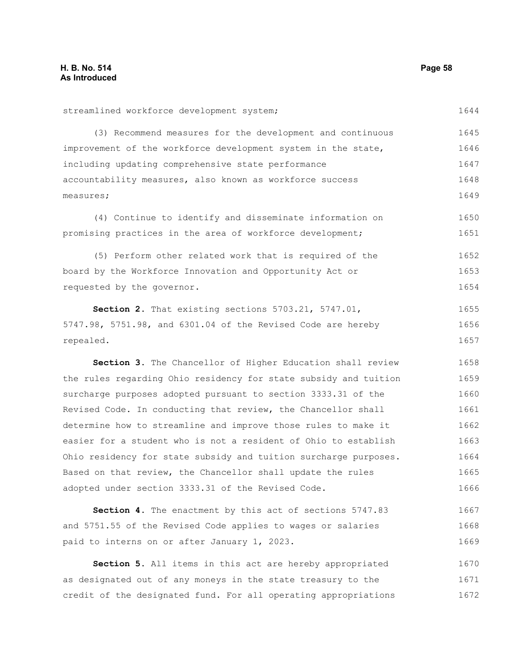streamlined workforce development system; (3) Recommend measures for the development and continuous improvement of the workforce development system in the state, including updating comprehensive state performance accountability measures, also known as workforce success measures; (4) Continue to identify and disseminate information on promising practices in the area of workforce development; (5) Perform other related work that is required of the board by the Workforce Innovation and Opportunity Act or requested by the governor. **Section 2.** That existing sections 5703.21, 5747.01, 5747.98, 5751.98, and 6301.04 of the Revised Code are hereby repealed. **Section 3.** The Chancellor of Higher Education shall review the rules regarding Ohio residency for state subsidy and tuition surcharge purposes adopted pursuant to section 3333.31 of the Revised Code. In conducting that review, the Chancellor shall determine how to streamline and improve those rules to make it easier for a student who is not a resident of Ohio to establish Ohio residency for state subsidy and tuition surcharge purposes. Based on that review, the Chancellor shall update the rules adopted under section 3333.31 of the Revised Code. **Section 4.** The enactment by this act of sections 5747.83 and 5751.55 of the Revised Code applies to wages or salaries paid to interns on or after January 1, 2023. 1644 1645 1646 1647 1648 1649 1650 1651 1652 1653 1654 1655 1656 1657 1658 1659 1660 1661 1662 1663 1664 1665 1666 1667 1668 1669

**Section 5.** All items in this act are hereby appropriated as designated out of any moneys in the state treasury to the credit of the designated fund. For all operating appropriations 1670 1671 1672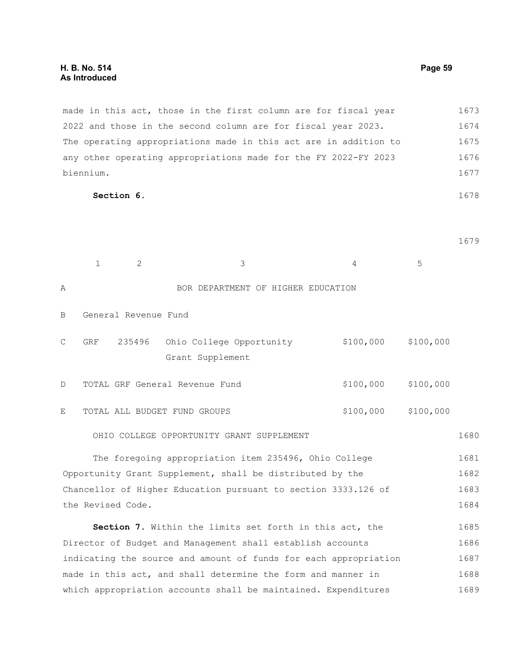made in this act, those in the first column are for fiscal year 2022 and those in the second column are for fiscal year 2023. The operating appropriations made in this act are in addition to any other operating appropriations made for the FY 2022-FY 2023 biennium. 1673 1674 1675 1676 1677

**Section 6.** 

1679

|                                                                  | $\mathbf{1}$                                                   | 2                    | 3                                                       | 4         | 5         |      |  |
|------------------------------------------------------------------|----------------------------------------------------------------|----------------------|---------------------------------------------------------|-----------|-----------|------|--|
| Α                                                                |                                                                |                      | BOR DEPARTMENT OF HIGHER EDUCATION                      |           |           |      |  |
| В                                                                |                                                                | General Revenue Fund |                                                         |           |           |      |  |
| С                                                                | <b>GRF</b>                                                     | 235496               | Ohio College Opportunity<br>Grant Supplement            | \$100,000 | \$100,000 |      |  |
| D                                                                |                                                                |                      | TOTAL GRF General Revenue Fund                          | \$100,000 | \$100,000 |      |  |
| E                                                                |                                                                |                      | TOTAL ALL BUDGET FUND GROUPS                            | \$100,000 | \$100,000 |      |  |
|                                                                  |                                                                |                      | OHIO COLLEGE OPPORTUNITY GRANT SUPPLEMENT               |           |           | 1680 |  |
|                                                                  |                                                                |                      | The foregoing appropriation item 235496, Ohio College   |           |           | 1681 |  |
| Opportunity Grant Supplement, shall be distributed by the        |                                                                |                      |                                                         |           |           | 1682 |  |
| Chancellor of Higher Education pursuant to section 3333.126 of   |                                                                |                      |                                                         |           |           | 1683 |  |
|                                                                  | the Revised Code.                                              |                      |                                                         |           |           |      |  |
|                                                                  |                                                                |                      | Section 7. Within the limits set forth in this act, the |           |           | 1685 |  |
| Director of Budget and Management shall establish accounts       |                                                                |                      |                                                         |           |           | 1686 |  |
| indicating the source and amount of funds for each appropriation |                                                                |                      |                                                         |           |           | 1687 |  |
| made in this act, and shall determine the form and manner in     |                                                                |                      |                                                         |           |           | 1688 |  |
|                                                                  | which appropriation accounts shall be maintained. Expenditures |                      |                                                         |           |           |      |  |